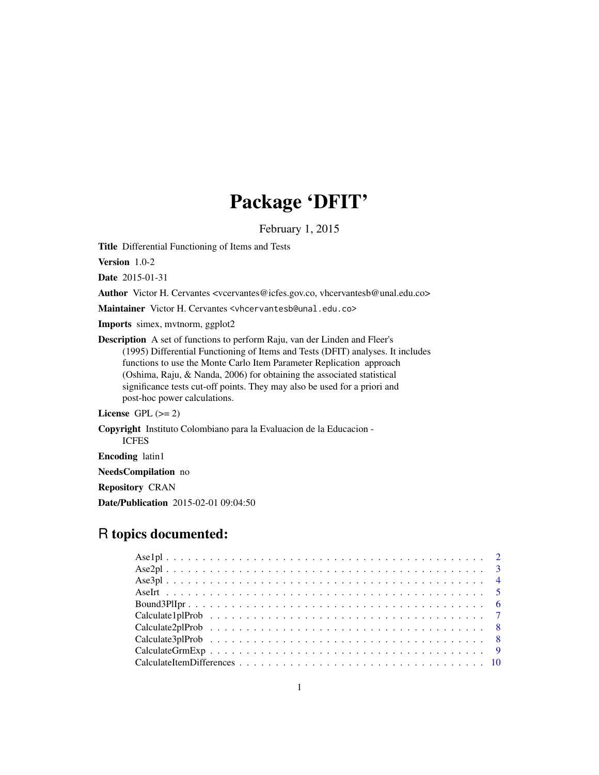# Package 'DFIT'

February 1, 2015

Title Differential Functioning of Items and Tests

Version 1.0-2

Date 2015-01-31

Author Victor H. Cervantes <vcervantes@icfes.gov.co, vhcervantesb@unal.edu.co>

Maintainer Victor H. Cervantes <vhcervantesb@unal.edu.co>

Imports simex, mvtnorm, ggplot2

Description A set of functions to perform Raju, van der Linden and Fleer's (1995) Differential Functioning of Items and Tests (DFIT) analyses. It includes functions to use the Monte Carlo Item Parameter Replication approach (Oshima, Raju, & Nanda, 2006) for obtaining the associated statistical significance tests cut-off points. They may also be used for a priori and post-hoc power calculations.

# License GPL  $(>= 2)$

Copyright Instituto Colombiano para la Evaluacion de la Educacion - ICFES

Encoding latin1

NeedsCompilation no

Repository CRAN

Date/Publication 2015-02-01 09:04:50

# R topics documented: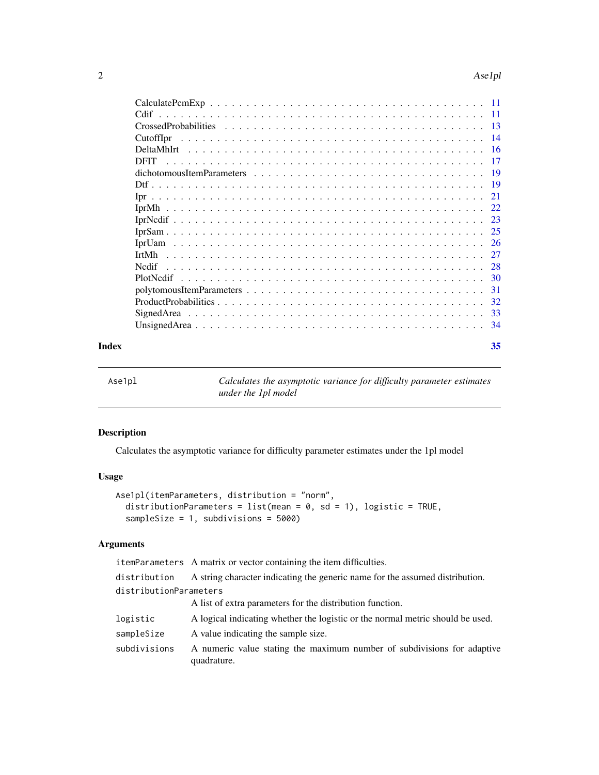#### <span id="page-1-0"></span>2 Ase1pl

| Cdif        | - 11            |
|-------------|-----------------|
|             | $\overline{13}$ |
| CutoffIpr   | -14             |
|             | - 16            |
| <b>DFIT</b> | 17              |
|             | - 19            |
|             |                 |
|             | 21              |
|             | 22              |
|             | -23             |
|             | 25              |
|             |                 |
|             |                 |
| Nedif       | -28             |
|             | 30              |
|             | -31             |
|             | 32              |
|             | 33              |
|             | - 34            |
|             |                 |

# **Index** [35](#page-34-0)

| o | r<br>u. |
|---|---------|
|---|---------|

Calculates the asymptotic variance for difficulty parameter estimates *under the 1pl model*

# Description

Calculates the asymptotic variance for difficulty parameter estimates under the 1pl model

# Usage

```
Ase1pl(itemParameters, distribution = "norm",
  distributionParameters = list(mean = 0, sd = 1), logistic = TRUE,
  sampleSize = 1, subdivisions = 5000)
```
# Arguments

| itemParameters A matrix or vector containing the item difficulties.                    |
|----------------------------------------------------------------------------------------|
| A string character indicating the generic name for the assumed distribution.           |
| distributionParameters                                                                 |
| A list of extra parameters for the distribution function.                              |
| A logical indicating whether the logistic or the normal metric should be used.         |
| A value indicating the sample size.                                                    |
| A numeric value stating the maximum number of subdivisions for adaptive<br>quadrature. |
|                                                                                        |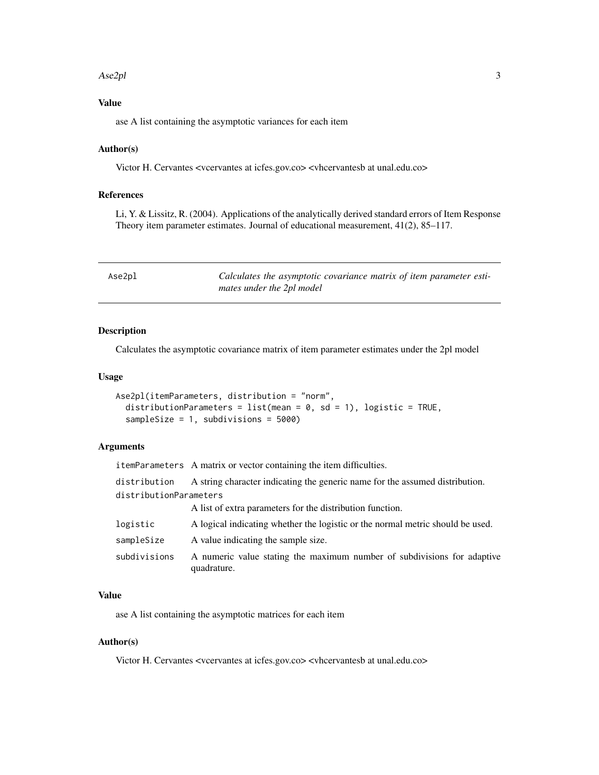#### <span id="page-2-0"></span>Ase2pl 3

# Value

ase A list containing the asymptotic variances for each item

# Author(s)

Victor H. Cervantes <vcervantes at icfes.gov.co> <vhcervantesb at unal.edu.co>

# References

Li, Y. & Lissitz, R. (2004). Applications of the analytically derived standard errors of Item Response Theory item parameter estimates. Journal of educational measurement, 41(2), 85–117.

| Ase2pl | Calculates the asymptotic covariance matrix of item parameter esti- |
|--------|---------------------------------------------------------------------|
|        | mates under the 2pl model                                           |

#### Description

Calculates the asymptotic covariance matrix of item parameter estimates under the 2pl model

#### Usage

```
Ase2pl(itemParameters, distribution = "norm",
  distributionParameters = list(mean = 0, sd = 1), logistic = TRUE,
  sampleSize = 1, subdivisions = 5000)
```
#### Arguments

itemParameters A matrix or vector containing the item difficulties.

distribution A string character indicating the generic name for the assumed distribution.

distributionParameters

A list of extra parameters for the distribution function.

| logistic     | A logical indicating whether the logistic or the normal metric should be used.         |
|--------------|----------------------------------------------------------------------------------------|
| sampleSize   | A value indicating the sample size.                                                    |
| subdivisions | A numeric value stating the maximum number of subdivisions for adaptive<br>quadrature. |

#### Value

ase A list containing the asymptotic matrices for each item

# Author(s)

Victor H. Cervantes <vcervantes at icfes.gov.co> <vhcervantesb at unal.edu.co>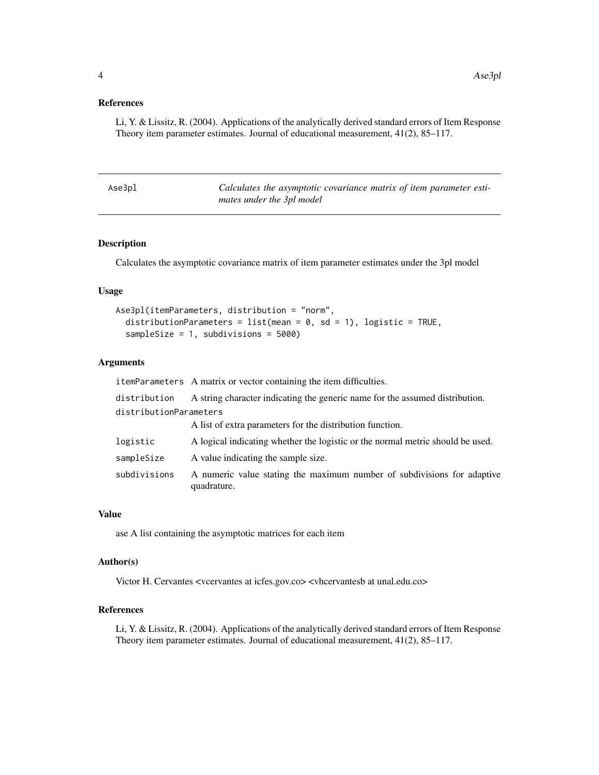# <span id="page-3-0"></span>References

Li, Y. & Lissitz, R. (2004). Applications of the analytically derived standard errors of Item Response Theory item parameter estimates. Journal of educational measurement, 41(2), 85–117.

| Ase3pl | Calculates the asymptotic covariance matrix of item parameter esti- |
|--------|---------------------------------------------------------------------|
|        | mates under the 3pl model                                           |

# Description

Calculates the asymptotic covariance matrix of item parameter estimates under the 3pl model

#### Usage

```
Ase3pl(itemParameters, distribution = "norm",
  distributionParameters = list(mean = 0, sd = 1), logistic = TRUE,
  sampleSize = 1, subdivisions = 5000)
```
#### Arguments

itemParameters A matrix or vector containing the item difficulties.

| distribution           | A string character indicating the generic name for the assumed distribution.           |
|------------------------|----------------------------------------------------------------------------------------|
| distributionParameters |                                                                                        |
|                        | A list of extra parameters for the distribution function.                              |
| logistic               | A logical indicating whether the logistic or the normal metric should be used.         |
| sampleSize             | A value indicating the sample size.                                                    |
| subdivisions           | A numeric value stating the maximum number of subdivisions for adaptive<br>quadrature. |

#### Value

ase A list containing the asymptotic matrices for each item

# Author(s)

Victor H. Cervantes <vcervantes at icfes.gov.co> <vhcervantesb at unal.edu.co>

# References

Li, Y. & Lissitz, R. (2004). Applications of the analytically derived standard errors of Item Response Theory item parameter estimates. Journal of educational measurement, 41(2), 85–117.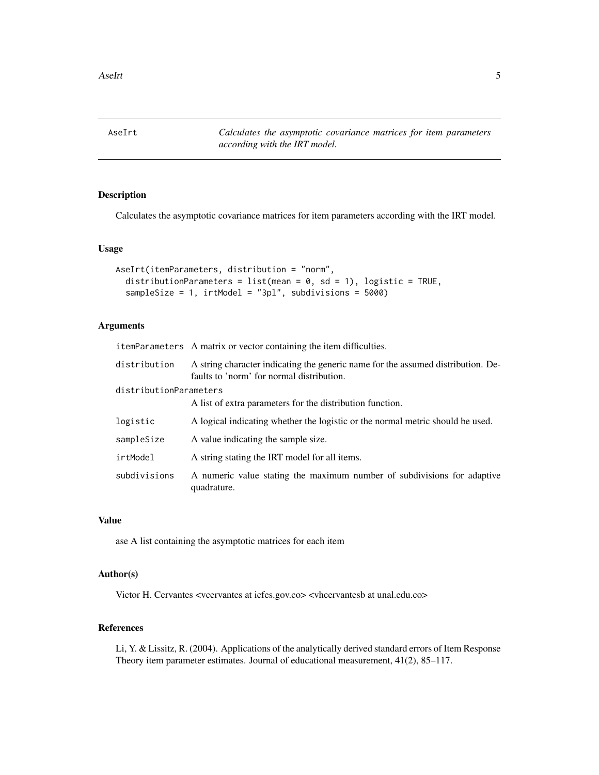<span id="page-4-0"></span>AseIrt *Calculates the asymptotic covariance matrices for item parameters according with the IRT model.*

# Description

Calculates the asymptotic covariance matrices for item parameters according with the IRT model.

#### Usage

```
AseIrt(itemParameters, distribution = "norm",
  distributionParameters = list(mean = 0, sd = 1), logistic = TRUE,
  sampleSize = 1, irtModel = "3pl", subdivisions = 5000)
```
#### Arguments

| itemParameters A matrix or vector containing the item difficulties.                                               |  |
|-------------------------------------------------------------------------------------------------------------------|--|
| $\det$ distribution $\Lambda$ string character indicating the generic name for the assumed distribution $\Lambda$ |  |

| ulst luutlui           | A string character mulcating the generic hand for the assumed distribution. De-<br>faults to 'norm' for normal distribution. |
|------------------------|------------------------------------------------------------------------------------------------------------------------------|
| distributionParameters |                                                                                                                              |
|                        | A list of extra parameters for the distribution function.                                                                    |
| logistic               | A logical indicating whether the logistic or the normal metric should be used.                                               |
| sampleSize             | A value indicating the sample size.                                                                                          |
| irtModel               | A string stating the IRT model for all items.                                                                                |
| subdivisions           | A numeric value stating the maximum number of subdivisions for adaptive<br>quadrature.                                       |

# Value

ase A list containing the asymptotic matrices for each item

#### Author(s)

Victor H. Cervantes <vcervantes at icfes.gov.co> <vhcervantesb at unal.edu.co>

#### References

Li, Y. & Lissitz, R. (2004). Applications of the analytically derived standard errors of Item Response Theory item parameter estimates. Journal of educational measurement, 41(2), 85–117.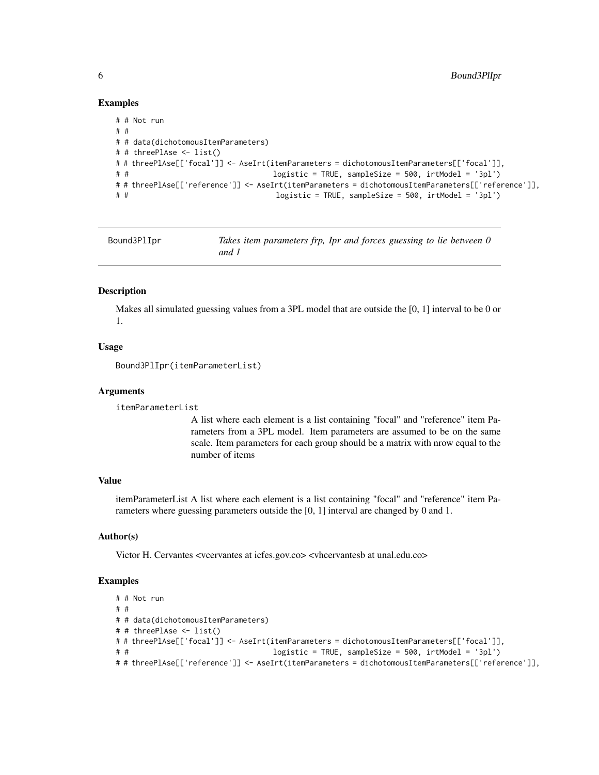# Examples

```
# # Not run
# #
# # data(dichotomousItemParameters)
# # threePlAse <- list()
# # threePlAse[['focal']] <- AseIrt(itemParameters = dichotomousItemParameters[['focal']],
# # logistic = TRUE, sampleSize = 500, irtModel = '3pl')
# # threePlAse[['reference']] <- AseIrt(itemParameters = dichotomousItemParameters[['reference']],
# # logistic = TRUE, sampleSize = 500, irtModel = '3pl')
```

| Bound3PlIpr | Takes item parameters frp, Ipr and forces guessing to lie between 0 |
|-------------|---------------------------------------------------------------------|
|             | and 1                                                               |

#### Description

Makes all simulated guessing values from a 3PL model that are outside the [0, 1] interval to be 0 or 1.

#### Usage

```
Bound3PlIpr(itemParameterList)
```
#### **Arguments**

```
itemParameterList
```
A list where each element is a list containing "focal" and "reference" item Parameters from a 3PL model. Item parameters are assumed to be on the same scale. Item parameters for each group should be a matrix with nrow equal to the number of items

#### Value

itemParameterList A list where each element is a list containing "focal" and "reference" item Parameters where guessing parameters outside the [0, 1] interval are changed by 0 and 1.

# Author(s)

Victor H. Cervantes <vcervantes at icfes.gov.co> <vhcervantesb at unal.edu.co>

```
# # Not run
# #
# # data(dichotomousItemParameters)
# # threePlAse <- list()
# # threePlAse[['focal']] <- AseIrt(itemParameters = dichotomousItemParameters[['focal']],
# # logistic = TRUE, sampleSize = 500, irtModel = '3pl')
# # threePlAse[['reference']] <- AseIrt(itemParameters = dichotomousItemParameters[['reference']],
```
<span id="page-5-0"></span>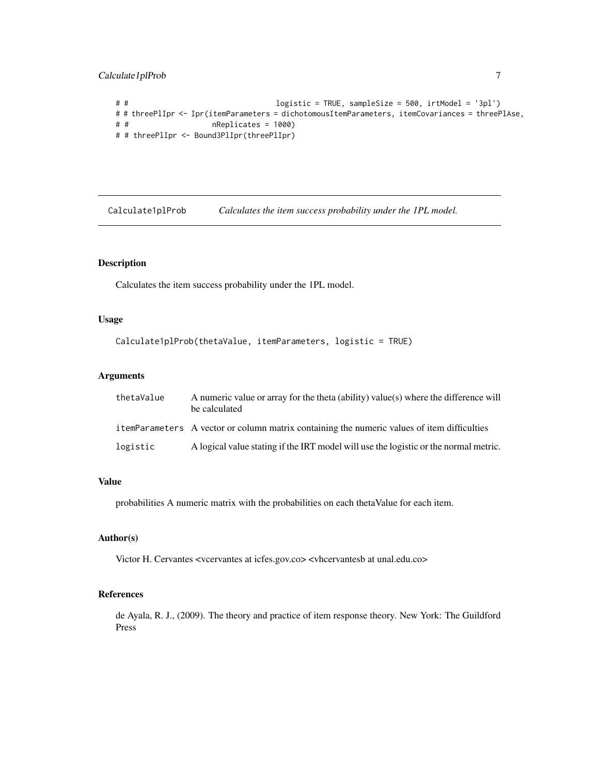<span id="page-6-0"></span>Calculate1plProb 7

```
# # logistic = TRUE, sampleSize = 500, irtModel = '3pl')
# # threePlIpr <- Ipr(itemParameters = dichotomousItemParameters, itemCovariances = threePlAse,
# # nReplicates = 1000)
# # threePlIpr <- Bound3PlIpr(threePlIpr)
```
Calculate1plProb *Calculates the item success probability under the 1PL model.*

# Description

Calculates the item success probability under the 1PL model.

# Usage

```
Calculate1plProb(thetaValue, itemParameters, logistic = TRUE)
```
# Arguments

| thetaValue | A numeric value or array for the theta (ability) value(s) where the difference will<br>be calculated |
|------------|------------------------------------------------------------------------------------------------------|
|            | itemParameters A vector or column matrix containing the numeric values of item difficulties          |
| logistic   | A logical value stating if the IRT model will use the logistic or the normal metric.                 |

# Value

probabilities A numeric matrix with the probabilities on each thetaValue for each item.

# Author(s)

Victor H. Cervantes <vcervantes at icfes.gov.co> <vhcervantesb at unal.edu.co>

#### References

de Ayala, R. J., (2009). The theory and practice of item response theory. New York: The Guildford Press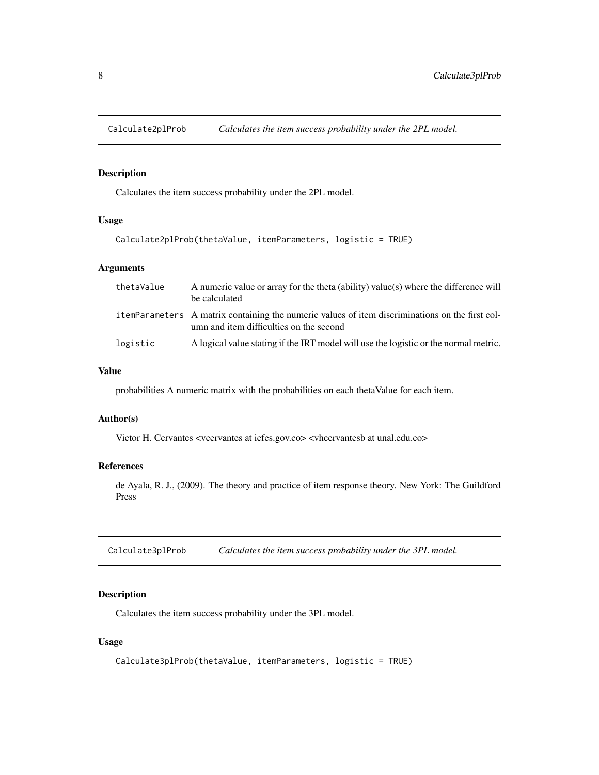<span id="page-7-0"></span>Calculate2plProb *Calculates the item success probability under the 2PL model.*

# Description

Calculates the item success probability under the 2PL model.

# Usage

```
Calculate2plProb(thetaValue, itemParameters, logistic = TRUE)
```
#### Arguments

| thetaValue | A numeric value or array for the theta (ability) value(s) where the difference will<br>be calculated                                       |
|------------|--------------------------------------------------------------------------------------------------------------------------------------------|
|            | itemParameters A matrix containing the numeric values of item discriminations on the first col-<br>umn and item difficulties on the second |
| logistic   | A logical value stating if the IRT model will use the logistic or the normal metric.                                                       |

# Value

probabilities A numeric matrix with the probabilities on each thetaValue for each item.

#### Author(s)

Victor H. Cervantes <vcervantes at icfes.gov.co> <vhcervantesb at unal.edu.co>

# References

de Ayala, R. J., (2009). The theory and practice of item response theory. New York: The Guildford Press

Calculate3plProb *Calculates the item success probability under the 3PL model.*

# Description

Calculates the item success probability under the 3PL model.

# Usage

```
Calculate3plProb(thetaValue, itemParameters, logistic = TRUE)
```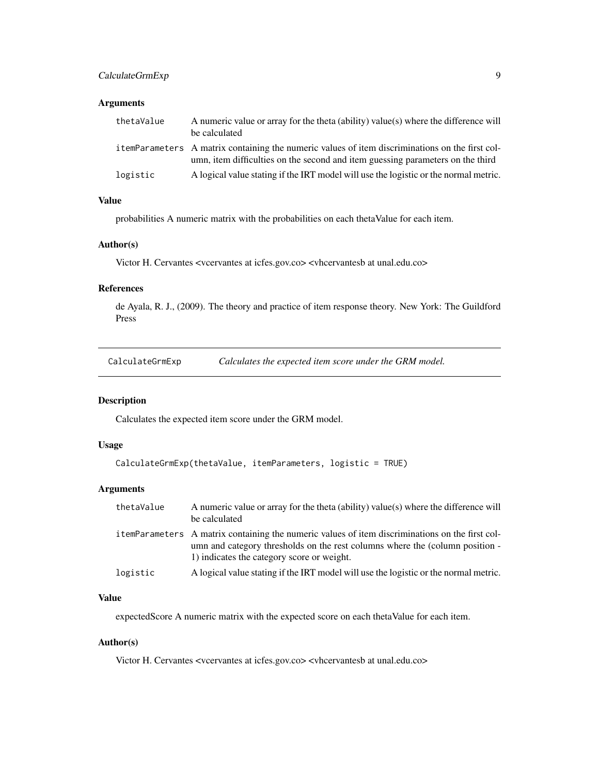# <span id="page-8-0"></span>CalculateGrmExp 9

# Arguments

| thetaValue | A numeric value or array for the theta (ability) value(s) where the difference will<br>be calculated                                                                               |
|------------|------------------------------------------------------------------------------------------------------------------------------------------------------------------------------------|
|            | i temParameters A matrix containing the numeric values of item discriminations on the first col-<br>umn, item difficulties on the second and item guessing parameters on the third |
| logistic   | A logical value stating if the IRT model will use the logistic or the normal metric.                                                                                               |

# Value

probabilities A numeric matrix with the probabilities on each thetaValue for each item.

# Author(s)

Victor H. Cervantes <vcervantes at icfes.gov.co> <vhcervantesb at unal.edu.co>

# References

de Ayala, R. J., (2009). The theory and practice of item response theory. New York: The Guildford Press

CalculateGrmExp *Calculates the expected item score under the GRM model.*

#### Description

Calculates the expected item score under the GRM model.

#### Usage

```
CalculateGrmExp(thetaValue, itemParameters, logistic = TRUE)
```
# Arguments

| thetaValue | A numeric value or array for the theta (ability) value(s) where the difference will<br>be calculated                                                                                                                          |
|------------|-------------------------------------------------------------------------------------------------------------------------------------------------------------------------------------------------------------------------------|
|            | itemParameters A matrix containing the numeric values of item discriminations on the first col-<br>umn and category thresholds on the rest columns where the (column position -<br>1) indicates the category score or weight. |
| logistic   | A logical value stating if the IRT model will use the logistic or the normal metric.                                                                                                                                          |

# Value

expectedScore A numeric matrix with the expected score on each thetaValue for each item.

# Author(s)

Victor H. Cervantes <vcervantes at icfes.gov.co> <vhcervantesb at unal.edu.co>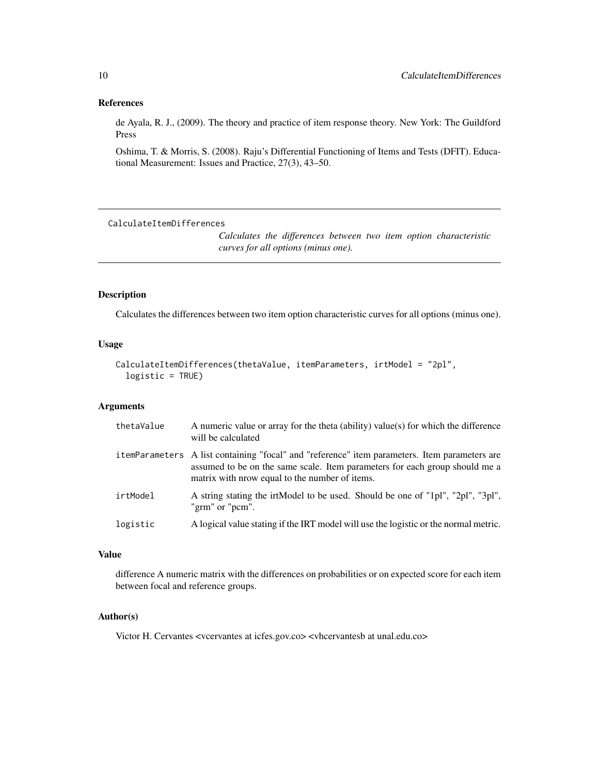#### <span id="page-9-0"></span>References

de Ayala, R. J., (2009). The theory and practice of item response theory. New York: The Guildford Press

Oshima, T. & Morris, S. (2008). Raju's Differential Functioning of Items and Tests (DFIT). Educational Measurement: Issues and Practice, 27(3), 43–50.

CalculateItemDifferences

*Calculates the differences between two item option characteristic curves for all options (minus one).*

#### Description

Calculates the differences between two item option characteristic curves for all options (minus one).

# Usage

```
CalculateItemDifferences(thetaValue, itemParameters, irtModel = "2pl",
  logistic = TRUE)
```
# Arguments

| thetaValue | A numeric value or array for the theta (ability) value(s) for which the difference<br>will be calculated                                                                                                                       |
|------------|--------------------------------------------------------------------------------------------------------------------------------------------------------------------------------------------------------------------------------|
|            | itemParameters A list containing "focal" and "reference" item parameters. Item parameters are<br>assumed to be on the same scale. Item parameters for each group should me a<br>matrix with nrow equal to the number of items. |
| irtModel   | A string stating the irtModel to be used. Should be one of "1pl", "2pl", "3pl",<br>"grm" or "pcm".                                                                                                                             |
| logistic   | A logical value stating if the IRT model will use the logistic or the normal metric.                                                                                                                                           |

# Value

difference A numeric matrix with the differences on probabilities or on expected score for each item between focal and reference groups.

#### Author(s)

Victor H. Cervantes <vcervantes at icfes.gov.co> <vhcervantesb at unal.edu.co>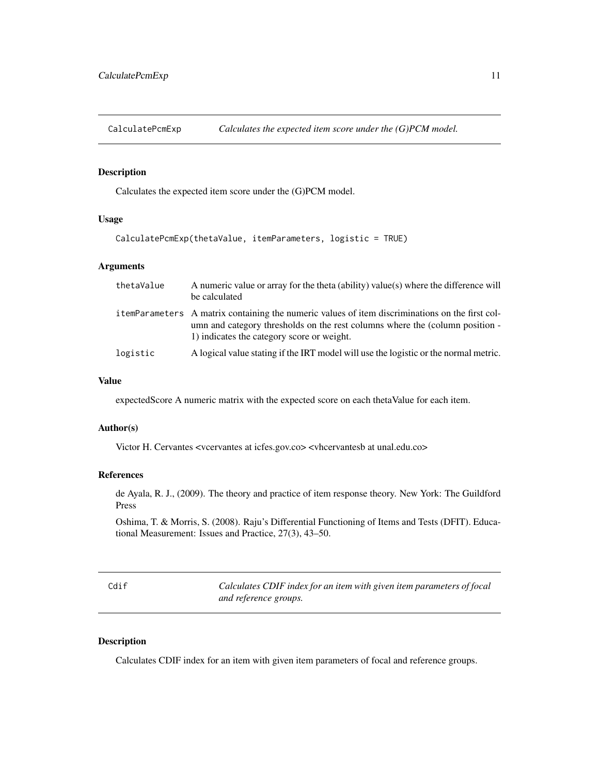<span id="page-10-0"></span>CalculatePcmExp *Calculates the expected item score under the (G)PCM model.*

# Description

Calculates the expected item score under the (G)PCM model.

#### Usage

```
CalculatePcmExp(thetaValue, itemParameters, logistic = TRUE)
```
#### Arguments

| thetaValue | A numeric value or array for the theta (ability) value(s) where the difference will<br>be calculated                                                                                                                          |
|------------|-------------------------------------------------------------------------------------------------------------------------------------------------------------------------------------------------------------------------------|
|            | itemParameters A matrix containing the numeric values of item discriminations on the first col-<br>umn and category thresholds on the rest columns where the (column position -<br>1) indicates the category score or weight. |
| logistic   | A logical value stating if the IRT model will use the logistic or the normal metric.                                                                                                                                          |

# Value

expectedScore A numeric matrix with the expected score on each thetaValue for each item.

#### Author(s)

Victor H. Cervantes <vcervantes at icfes.gov.co> <vhcervantesb at unal.edu.co>

# References

de Ayala, R. J., (2009). The theory and practice of item response theory. New York: The Guildford Press

Oshima, T. & Morris, S. (2008). Raju's Differential Functioning of Items and Tests (DFIT). Educational Measurement: Issues and Practice, 27(3), 43–50.

Cdif *Calculates CDIF index for an item with given item parameters of focal and reference groups.*

# Description

Calculates CDIF index for an item with given item parameters of focal and reference groups.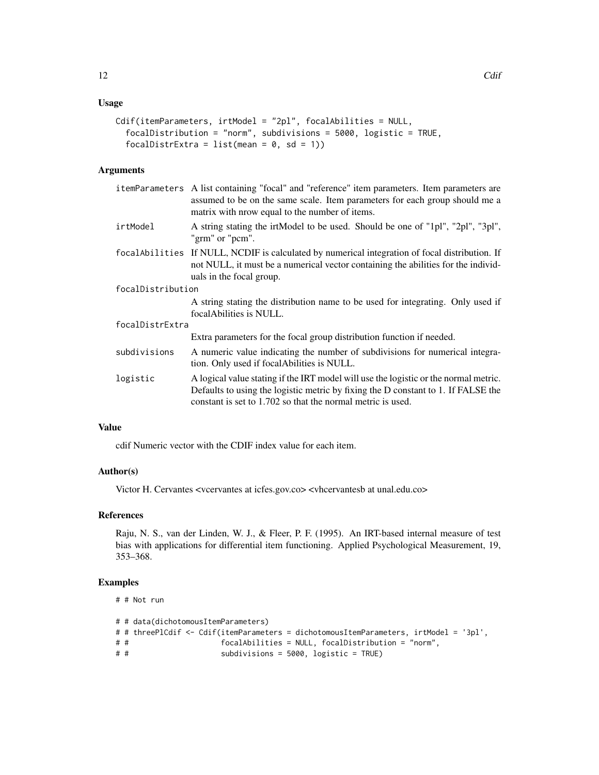# Usage

```
Cdif(itemParameters, irtModel = "2pl", focalAbilities = NULL,
  focalDistribution = "norm", subdivisions = 5000, logistic = TRUE,
  focalDistrExtra = list(mean = 0, sd = 1))
```
# Arguments

|                   | itemParameters A list containing "focal" and "reference" item parameters. Item parameters are<br>assumed to be on the same scale. Item parameters for each group should me a<br>matrix with nrow equal to the number of items.           |  |
|-------------------|------------------------------------------------------------------------------------------------------------------------------------------------------------------------------------------------------------------------------------------|--|
| irtModel          | A string stating the irtModel to be used. Should be one of "1pl", "2pl", "3pl",<br>"grm" or "pcm".                                                                                                                                       |  |
|                   | focal Abilities If NULL, NCDIF is calculated by numerical integration of focal distribution. If<br>not NULL, it must be a numerical vector containing the abilities for the individ-<br>uals in the focal group.                         |  |
| focalDistribution |                                                                                                                                                                                                                                          |  |
|                   | A string stating the distribution name to be used for integrating. Only used if<br>focal Abilities is NULL.                                                                                                                              |  |
| focalDistrExtra   |                                                                                                                                                                                                                                          |  |
|                   | Extra parameters for the focal group distribution function if needed.                                                                                                                                                                    |  |
| subdivisions      | A numeric value indicating the number of subdivisions for numerical integra-<br>tion. Only used if focalAbilities is NULL.                                                                                                               |  |
| logistic          | A logical value stating if the IRT model will use the logistic or the normal metric.<br>Defaults to using the logistic metric by fixing the D constant to 1. If FALSE the<br>constant is set to 1.702 so that the normal metric is used. |  |

# Value

cdif Numeric vector with the CDIF index value for each item.

#### Author(s)

Victor H. Cervantes <vcervantes at icfes.gov.co> <vhcervantesb at unal.edu.co>

#### References

Raju, N. S., van der Linden, W. J., & Fleer, P. F. (1995). An IRT-based internal measure of test bias with applications for differential item functioning. Applied Psychological Measurement, 19, 353–368.

```
# # Not run
# # data(dichotomousItemParameters)
# # threePlCdif <- Cdif(itemParameters = dichotomousItemParameters, irtModel = '3pl',
# # focalAbilities = NULL, focalDistribution = "norm",
# # subdivisions = 5000, logistic = TRUE)
```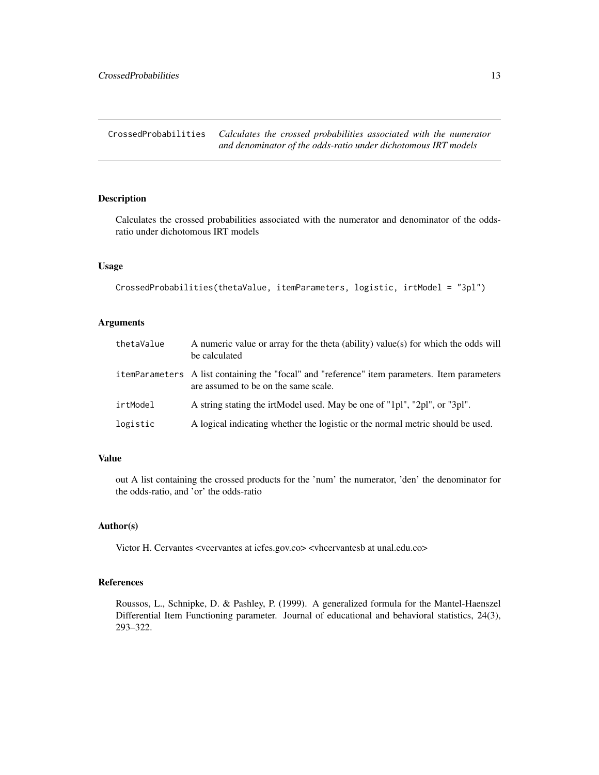<span id="page-12-0"></span>CrossedProbabilities *Calculates the crossed probabilities associated with the numerator and denominator of the odds-ratio under dichotomous IRT models*

# Description

Calculates the crossed probabilities associated with the numerator and denominator of the oddsratio under dichotomous IRT models

#### Usage

```
CrossedProbabilities(thetaValue, itemParameters, logistic, irtModel = "3pl")
```
# Arguments

| thetaValue | A numeric value or array for the theta (ability) value(s) for which the odds will<br>be calculated                                    |
|------------|---------------------------------------------------------------------------------------------------------------------------------------|
|            | itemParameters A list containing the "focal" and "reference" item parameters. Item parameters<br>are assumed to be on the same scale. |
| irtModel   | A string stating the irtModel used. May be one of "1pl", "2pl", or "3pl".                                                             |
| logistic   | A logical indicating whether the logistic or the normal metric should be used.                                                        |

# Value

out A list containing the crossed products for the 'num' the numerator, 'den' the denominator for the odds-ratio, and 'or' the odds-ratio

#### Author(s)

Victor H. Cervantes <vcervantes at icfes.gov.co> <vhcervantesb at unal.edu.co>

# References

Roussos, L., Schnipke, D. & Pashley, P. (1999). A generalized formula for the Mantel-Haenszel Differential Item Functioning parameter. Journal of educational and behavioral statistics, 24(3), 293–322.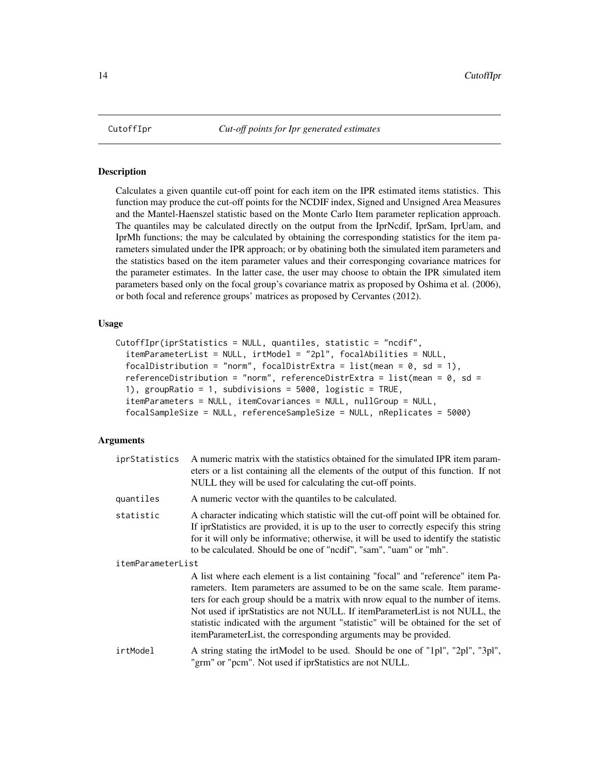<span id="page-13-0"></span>

# Description

Calculates a given quantile cut-off point for each item on the IPR estimated items statistics. This function may produce the cut-off points for the NCDIF index, Signed and Unsigned Area Measures and the Mantel-Haenszel statistic based on the Monte Carlo Item parameter replication approach. The quantiles may be calculated directly on the output from the IprNcdif, IprSam, IprUam, and IprMh functions; the may be calculated by obtaining the corresponding statistics for the item parameters simulated under the IPR approach; or by obatining both the simulated item parameters and the statistics based on the item parameter values and their corresponging covariance matrices for the parameter estimates. In the latter case, the user may choose to obtain the IPR simulated item parameters based only on the focal group's covariance matrix as proposed by Oshima et al. (2006), or both focal and reference groups' matrices as proposed by Cervantes (2012).

# Usage

```
CutoffIpr(iprStatistics = NULL, quantiles, statistic = "ncdif",
  itemParameterList = NULL, irtModel = "2pl", focalAbilities = NULL,
  focalDistribution = "norm", focalDistrExtra = list(mean = 0, sd = 1),
  referenceDistribution = "norm", referenceDistrExtra = list(mean = 0, sd =
  1), groupRatio = 1, subdivisions = 5000, logistic = TRUE,
  itemParameters = NULL, itemCovariances = NULL, nullGroup = NULL,
  focalSampleSize = NULL, referenceSampleSize = NULL, nReplicates = 5000)
```
#### Arguments

| iprStatistics     | A numeric matrix with the statistics obtained for the simulated IPR item param-<br>eters or a list containing all the elements of the output of this function. If not<br>NULL they will be used for calculating the cut-off points.                                                                                                                                                                                                                                                       |
|-------------------|-------------------------------------------------------------------------------------------------------------------------------------------------------------------------------------------------------------------------------------------------------------------------------------------------------------------------------------------------------------------------------------------------------------------------------------------------------------------------------------------|
| quantiles         | A numeric vector with the quantiles to be calculated.                                                                                                                                                                                                                                                                                                                                                                                                                                     |
| statistic         | A character indicating which statistic will the cut-off point will be obtained for.<br>If iprStatistics are provided, it is up to the user to correctly especify this string<br>for it will only be informative; otherwise, it will be used to identify the statistic<br>to be calculated. Should be one of "nodif", "sam", "uam" or "mh".                                                                                                                                                |
| itemParameterList |                                                                                                                                                                                                                                                                                                                                                                                                                                                                                           |
|                   | A list where each element is a list containing "focal" and "reference" item Pa-<br>rameters. Item parameters are assumed to be on the same scale. Item parame-<br>ters for each group should be a matrix with nrow equal to the number of items.<br>Not used if iprStatistics are not NULL. If itemParameterList is not NULL, the<br>statistic indicated with the argument "statistic" will be obtained for the set of<br>itemParameterList, the corresponding arguments may be provided. |
| irtModel          | A string stating the irtModel to be used. Should be one of "1pl", "2pl", "3pl",<br>"grm" or "pcm". Not used if iprStatistics are not NULL.                                                                                                                                                                                                                                                                                                                                                |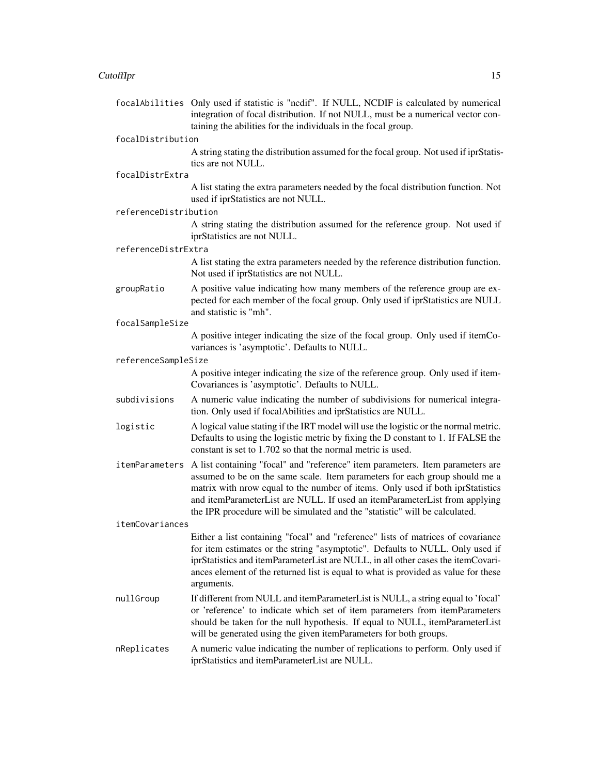#### CutoffIpr 2012 2013 2013 2014 2015 2016 2017 2018 2019 2014 2015 2017 2018 2019 2017 2018 2019 2017 2018 2019

focalAbilities Only used if statistic is "ncdif". If NULL, NCDIF is calculated by numerical integration of focal distribution. If not NULL, must be a numerical vector containing the abilities for the individuals in the focal group.

#### focalDistribution

A string stating the distribution assumed for the focal group. Not used if iprStatistics are not NULL.

focalDistrExtra

A list stating the extra parameters needed by the focal distribution function. Not used if iprStatistics are not NULL.

referenceDistribution

A string stating the distribution assumed for the reference group. Not used if iprStatistics are not NULL.

#### referenceDistrExtra

A list stating the extra parameters needed by the reference distribution function. Not used if iprStatistics are not NULL.

groupRatio A positive value indicating how many members of the reference group are expected for each member of the focal group. Only used if iprStatistics are NULL and statistic is "mh".

#### focalSampleSize

A positive integer indicating the size of the focal group. Only used if itemCovariances is 'asymptotic'. Defaults to NULL.

#### referenceSampleSize

A positive integer indicating the size of the reference group. Only used if item-Covariances is 'asymptotic'. Defaults to NULL.

- subdivisions A numeric value indicating the number of subdivisions for numerical integration. Only used if focalAbilities and iprStatistics are NULL.
- logistic A logical value stating if the IRT model will use the logistic or the normal metric. Defaults to using the logistic metric by fixing the D constant to 1. If FALSE the constant is set to 1.702 so that the normal metric is used.
- itemParameters A list containing "focal" and "reference" item parameters. Item parameters are assumed to be on the same scale. Item parameters for each group should me a matrix with nrow equal to the number of items. Only used if both iprStatistics and itemParameterList are NULL. If used an itemParameterList from applying the IPR procedure will be simulated and the "statistic" will be calculated.

#### itemCovariances

Either a list containing "focal" and "reference" lists of matrices of covariance for item estimates or the string "asymptotic". Defaults to NULL. Only used if iprStatistics and itemParameterList are NULL, in all other cases the itemCovariances element of the returned list is equal to what is provided as value for these arguments.

- nullGroup If different from NULL and itemParameterList is NULL, a string equal to 'focal' or 'reference' to indicate which set of item parameters from itemParameters should be taken for the null hypothesis. If equal to NULL, itemParameterList will be generated using the given itemParameters for both groups.
- nReplicates A numeric value indicating the number of replications to perform. Only used if iprStatistics and itemParameterList are NULL.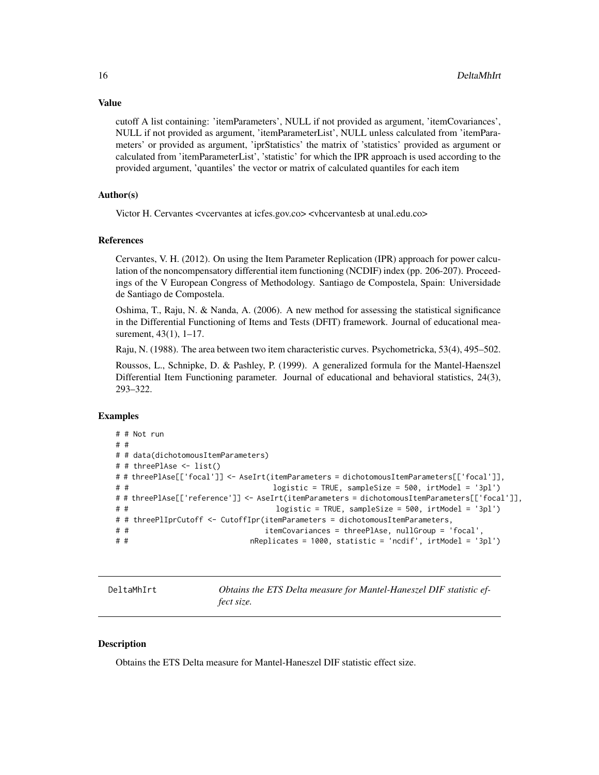cutoff A list containing: 'itemParameters', NULL if not provided as argument, 'itemCovariances', NULL if not provided as argument, 'itemParameterList', NULL unless calculated from 'itemParameters' or provided as argument, 'iprStatistics' the matrix of 'statistics' provided as argument or calculated from 'itemParameterList', 'statistic' for which the IPR approach is used according to the provided argument, 'quantiles' the vector or matrix of calculated quantiles for each item

# Author(s)

Victor H. Cervantes <vcervantes at icfes.gov.co> <vhcervantesb at unal.edu.co>

#### References

Cervantes, V. H. (2012). On using the Item Parameter Replication (IPR) approach for power calculation of the noncompensatory differential item functioning (NCDIF) index (pp. 206-207). Proceedings of the V European Congress of Methodology. Santiago de Compostela, Spain: Universidade de Santiago de Compostela.

Oshima, T., Raju, N. & Nanda, A. (2006). A new method for assessing the statistical significance in the Differential Functioning of Items and Tests (DFIT) framework. Journal of educational measurement, 43(1), 1–17.

Raju, N. (1988). The area between two item characteristic curves. Psychometricka, 53(4), 495–502.

Roussos, L., Schnipke, D. & Pashley, P. (1999). A generalized formula for the Mantel-Haenszel Differential Item Functioning parameter. Journal of educational and behavioral statistics, 24(3), 293–322.

#### Examples

```
# # Not run
# #
# # data(dichotomousItemParameters)
# # threePlAse <- list()
# # threePlAse[['focal']] <- AseIrt(itemParameters = dichotomousItemParameters[['focal']],
# # logistic = TRUE, sampleSize = 500, irtModel = '3pl')
# # threePlAse[['reference']] <- AseIrt(itemParameters = dichotomousItemParameters[['focal']],
# # logistic = TRUE, sampleSize = 500, irtModel = '3pl')
# # threePlIprCutoff <- CutoffIpr(itemParameters = dichotomousItemParameters,
# # itemCovariances = threePlAse, nullGroup = 'focal',
                          nReplicates = 1000, statistic = 'ncdif', irtModel = '3pl')
```
DeltaMhIrt *Obtains the ETS Delta measure for Mantel-Haneszel DIF statistic effect size.*

# Description

Obtains the ETS Delta measure for Mantel-Haneszel DIF statistic effect size.

# <span id="page-15-0"></span>Value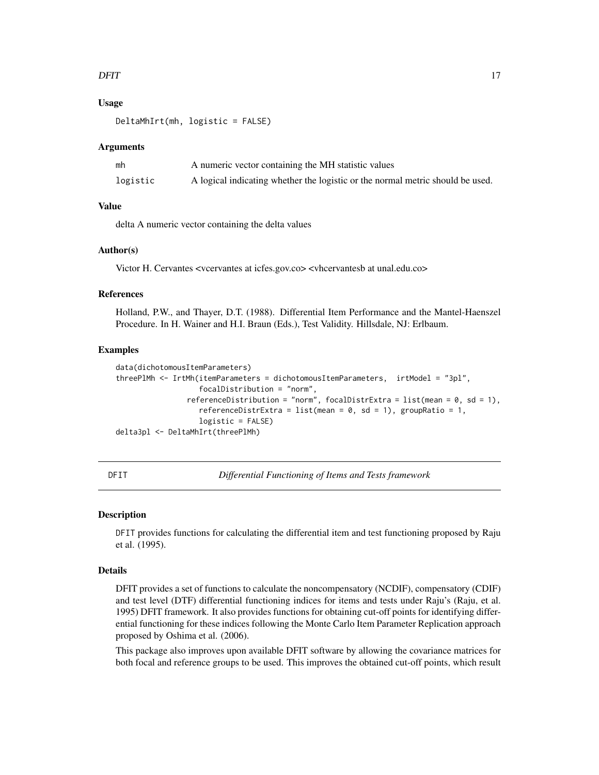#### <span id="page-16-0"></span>DFIT 17

# Usage

DeltaMhIrt(mh, logistic = FALSE)

#### Arguments

| mh       | A numeric vector containing the MH statistic values                            |
|----------|--------------------------------------------------------------------------------|
| logistic | A logical indicating whether the logistic or the normal metric should be used. |

#### Value

delta A numeric vector containing the delta values

#### Author(s)

Victor H. Cervantes <vcervantes at icfes.gov.co> <vhcervantesb at unal.edu.co>

#### References

Holland, P.W., and Thayer, D.T. (1988). Differential Item Performance and the Mantel-Haenszel Procedure. In H. Wainer and H.I. Braun (Eds.), Test Validity. Hillsdale, NJ: Erlbaum.

#### Examples

```
data(dichotomousItemParameters)
threePlMh <- IrtMh(itemParameters = dichotomousItemParameters, irtModel = "3pl",
                   focalDistribution = "norm",
                referenceDistribution = "norm", focalDistrExtra = list(mean = 0, sd = 1),
                   referenceDistrExtra = list(mean = 0, sd = 1), groupRatio = 1,
                   logistic = FALSE)
delta3pl <- DeltaMhIrt(threePlMh)
```
DFIT *Differential Functioning of Items and Tests framework*

#### Description

DFIT provides functions for calculating the differential item and test functioning proposed by Raju et al. (1995).

#### Details

DFIT provides a set of functions to calculate the noncompensatory (NCDIF), compensatory (CDIF) and test level (DTF) differential functioning indices for items and tests under Raju's (Raju, et al. 1995) DFIT framework. It also provides functions for obtaining cut-off points for identifying differential functioning for these indices following the Monte Carlo Item Parameter Replication approach proposed by Oshima et al. (2006).

This package also improves upon available DFIT software by allowing the covariance matrices for both focal and reference groups to be used. This improves the obtained cut-off points, which result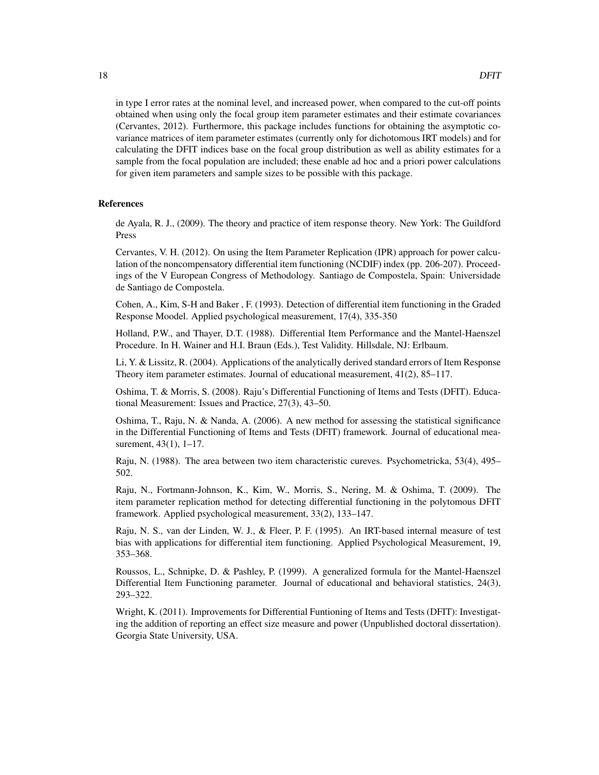in type I error rates at the nominal level, and increased power, when compared to the cut-off points obtained when using only the focal group item parameter estimates and their estimate covariances (Cervantes, 2012). Furthermore, this package includes functions for obtaining the asymptotic covariance matrices of item parameter estimates (currently only for dichotomous IRT models) and for calculating the DFIT indices base on the focal group distribution as well as ability estimates for a sample from the focal population are included; these enable ad hoc and a priori power calculations for given item parameters and sample sizes to be possible with this package.

# References

de Ayala, R. J., (2009). The theory and practice of item response theory. New York: The Guildford Press

Cervantes, V. H. (2012). On using the Item Parameter Replication (IPR) approach for power calculation of the noncompensatory differential item functioning (NCDIF) index (pp. 206-207). Proceedings of the V European Congress of Methodology. Santiago de Compostela, Spain: Universidade de Santiago de Compostela.

Cohen, A., Kim, S-H and Baker , F. (1993). Detection of differential item functioning in the Graded Response Moodel. Applied psychological measurement, 17(4), 335-350

Holland, P.W., and Thayer, D.T. (1988). Differential Item Performance and the Mantel-Haenszel Procedure. In H. Wainer and H.I. Braun (Eds.), Test Validity. Hillsdale, NJ: Erlbaum.

Li, Y. & Lissitz, R. (2004). Applications of the analytically derived standard errors of Item Response Theory item parameter estimates. Journal of educational measurement, 41(2), 85–117.

Oshima, T. & Morris, S. (2008). Raju's Differential Functioning of Items and Tests (DFIT). Educational Measurement: Issues and Practice, 27(3), 43–50.

Oshima, T., Raju, N. & Nanda, A. (2006). A new method for assessing the statistical significance in the Differential Functioning of Items and Tests (DFIT) framework. Journal of educational measurement, 43(1), 1–17.

Raju, N. (1988). The area between two item characteristic cureves. Psychometricka, 53(4), 495– 502.

Raju, N., Fortmann-Johnson, K., Kim, W., Morris, S., Nering, M. & Oshima, T. (2009). The item parameter replication method for detecting differential functioning in the polytomous DFIT framework. Applied psychological measurement, 33(2), 133–147.

Raju, N. S., van der Linden, W. J., & Fleer, P. F. (1995). An IRT-based internal measure of test bias with applications for differential item functioning. Applied Psychological Measurement, 19, 353–368.

Roussos, L., Schnipke, D. & Pashley, P. (1999). A generalized formula for the Mantel-Haenszel Differential Item Functioning parameter. Journal of educational and behavioral statistics, 24(3), 293–322.

Wright, K. (2011). Improvements for Differential Funtioning of Items and Tests (DFIT): Investigating the addition of reporting an effect size measure and power (Unpublished doctoral dissertation). Georgia State University, USA.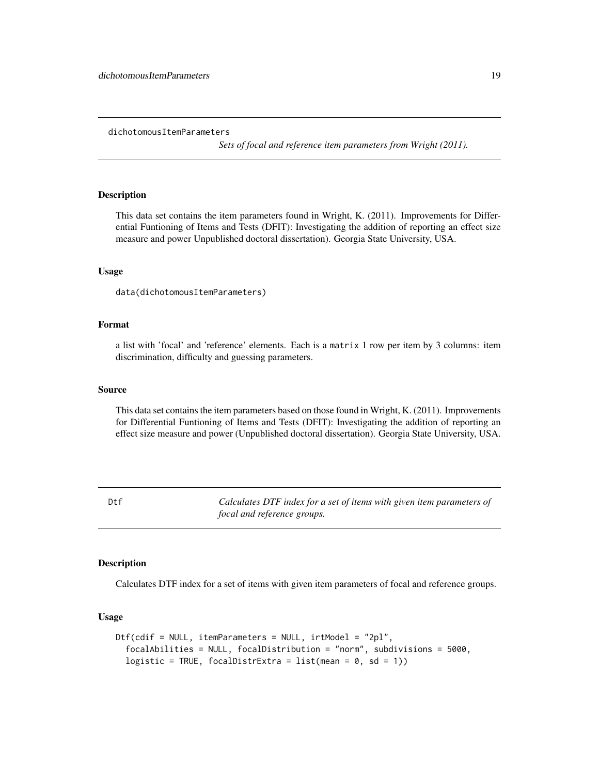*Sets of focal and reference item parameters from Wright (2011).*

# <span id="page-18-0"></span>**Description**

This data set contains the item parameters found in Wright, K. (2011). Improvements for Differential Funtioning of Items and Tests (DFIT): Investigating the addition of reporting an effect size measure and power Unpublished doctoral dissertation). Georgia State University, USA.

#### Usage

```
data(dichotomousItemParameters)
```
#### Format

a list with 'focal' and 'reference' elements. Each is a matrix 1 row per item by 3 columns: item discrimination, difficulty and guessing parameters.

#### Source

This data set contains the item parameters based on those found in Wright, K. (2011). Improvements for Differential Funtioning of Items and Tests (DFIT): Investigating the addition of reporting an effect size measure and power (Unpublished doctoral dissertation). Georgia State University, USA.

Dtf *Calculates DTF index for a set of items with given item parameters of focal and reference groups.*

# Description

Calculates DTF index for a set of items with given item parameters of focal and reference groups.

#### Usage

```
Dtf(cdif = NULL, itemParameters = NULL, irtModel = "2pl",
  focalAbilities = NULL, focalDistribution = "norm", subdivisions = 5000,
 logistic = TRUE, focalDistrExtra = list(mean = 0, sd = 1))
```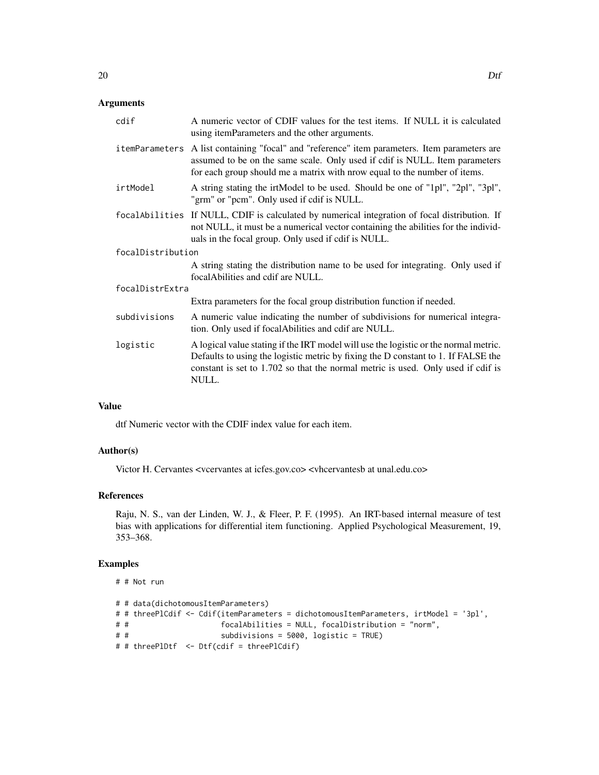# Arguments

| cdif              | A numeric vector of CDIF values for the test items. If NULL it is calculated<br>using itemParameters and the other arguments.                                                                                                                                          |  |
|-------------------|------------------------------------------------------------------------------------------------------------------------------------------------------------------------------------------------------------------------------------------------------------------------|--|
| itemParameters    | A list containing "focal" and "reference" item parameters. Item parameters are<br>assumed to be on the same scale. Only used if cdif is NULL. Item parameters<br>for each group should me a matrix with nrow equal to the number of items.                             |  |
| irtModel          | A string stating the irtModel to be used. Should be one of "1pl", "2pl", "3pl",<br>"grm" or "pcm". Only used if cdif is NULL.                                                                                                                                          |  |
|                   | focal Abilities If NULL, CDIF is calculated by numerical integration of focal distribution. If<br>not NULL, it must be a numerical vector containing the abilities for the individ-<br>uals in the focal group. Only used if cdif is NULL.                             |  |
| focalDistribution |                                                                                                                                                                                                                                                                        |  |
|                   | A string stating the distribution name to be used for integrating. Only used if<br>focal Abilities and cdif are NULL.                                                                                                                                                  |  |
| focalDistrExtra   |                                                                                                                                                                                                                                                                        |  |
|                   | Extra parameters for the focal group distribution function if needed.                                                                                                                                                                                                  |  |
| subdivisions      | A numeric value indicating the number of subdivisions for numerical integra-<br>tion. Only used if focalAbilities and cdif are NULL.                                                                                                                                   |  |
| logistic          | A logical value stating if the IRT model will use the logistic or the normal metric.<br>Defaults to using the logistic metric by fixing the D constant to 1. If FALSE the<br>constant is set to 1.702 so that the normal metric is used. Only used if cdif is<br>NULL. |  |

#### Value

dtf Numeric vector with the CDIF index value for each item.

# Author(s)

Victor H. Cervantes <vcervantes at icfes.gov.co> <vhcervantesb at unal.edu.co>

#### References

Raju, N. S., van der Linden, W. J., & Fleer, P. F. (1995). An IRT-based internal measure of test bias with applications for differential item functioning. Applied Psychological Measurement, 19, 353–368.

```
# # Not run
# # data(dichotomousItemParameters)
# # threePlCdif <- Cdif(itemParameters = dichotomousItemParameters, irtModel = '3pl',
                      focalA bilities = NULL, focalDistribution = "norm",# # subdivisions = 5000, logistic = TRUE)
# # threePlDtf <- Dtf(cdif = threePlCdif)
```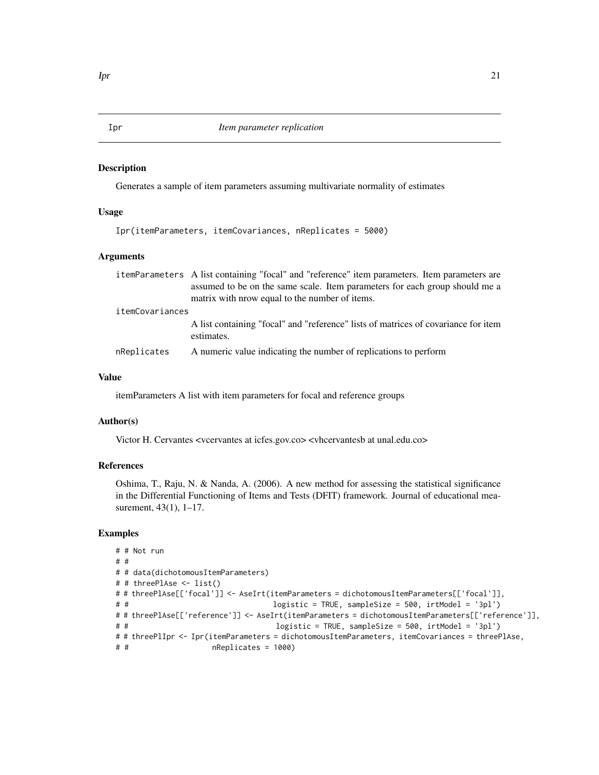#### <span id="page-20-0"></span>Description

Generates a sample of item parameters assuming multivariate normality of estimates

#### Usage

```
Ipr(itemParameters, itemCovariances, nReplicates = 5000)
```
# Arguments

|                 | itemParameters A list containing "focal" and "reference" item parameters. Item parameters are                                 |  |
|-----------------|-------------------------------------------------------------------------------------------------------------------------------|--|
|                 | assumed to be on the same scale. Item parameters for each group should me a<br>matrix with nrow equal to the number of items. |  |
|                 |                                                                                                                               |  |
| itemCovariances |                                                                                                                               |  |
|                 | A list containing "focal" and "reference" lists of matrices of covariance for item<br>estimates.                              |  |
|                 |                                                                                                                               |  |
| nReplicates     | A numeric value indicating the number of replications to perform                                                              |  |

# Value

itemParameters A list with item parameters for focal and reference groups

# Author(s)

Victor H. Cervantes <vcervantes at icfes.gov.co> <vhcervantesb at unal.edu.co>

# References

Oshima, T., Raju, N. & Nanda, A. (2006). A new method for assessing the statistical significance in the Differential Functioning of Items and Tests (DFIT) framework. Journal of educational measurement, 43(1), 1–17.

```
# # Not run
# #
# # data(dichotomousItemParameters)
# # threePlAse <- list()
# # threePlAse[['focal']] <- AseIrt(itemParameters = dichotomousItemParameters[['focal']],
# # logistic = TRUE, sampleSize = 500, irtModel = '3pl')
# # threePlAse[['reference']] <- AseIrt(itemParameters = dichotomousItemParameters[['reference']],
# # logistic = TRUE, sampleSize = 500, irtModel = '3pl')
# # threePlIpr <- Ipr(itemParameters = dichotomousItemParameters, itemCovariances = threePlAse,
# # nReplicates = 1000)
```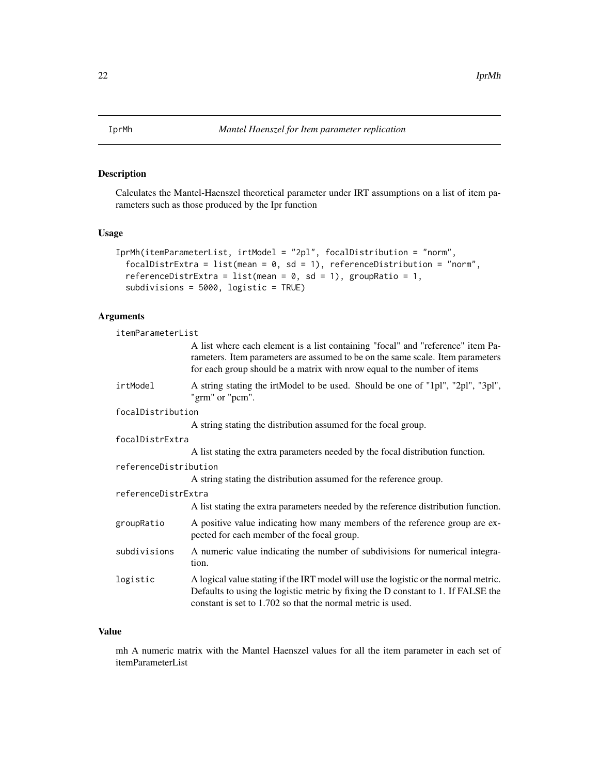<span id="page-21-0"></span>

# Description

Calculates the Mantel-Haenszel theoretical parameter under IRT assumptions on a list of item parameters such as those produced by the Ipr function

# Usage

```
IprMh(itemParameterList, irtModel = "2pl", focalDistribution = "norm",
  focalDistrExtra = list(mean = 0, sd = 1), referenceDistribution = "norm",
  referenceDistrExtra = list(mean = 0, sd = 1), groupRatio = 1,
  subdivisions = 5000, logistic = TRUE)
```
# Arguments

| itemParameterList     |                                                                                                                                                                                                                                               |  |
|-----------------------|-----------------------------------------------------------------------------------------------------------------------------------------------------------------------------------------------------------------------------------------------|--|
|                       | A list where each element is a list containing "focal" and "reference" item Pa-<br>rameters. Item parameters are assumed to be on the same scale. Item parameters<br>for each group should be a matrix with nrow equal to the number of items |  |
| irtModel              | A string stating the irtModel to be used. Should be one of "1pl", "2pl", "3pl",<br>"grm" or "pcm".                                                                                                                                            |  |
| focalDistribution     |                                                                                                                                                                                                                                               |  |
|                       | A string stating the distribution assumed for the focal group.                                                                                                                                                                                |  |
| focalDistrExtra       |                                                                                                                                                                                                                                               |  |
|                       | A list stating the extra parameters needed by the focal distribution function.                                                                                                                                                                |  |
| referenceDistribution |                                                                                                                                                                                                                                               |  |
|                       | A string stating the distribution assumed for the reference group.                                                                                                                                                                            |  |
| referenceDistrExtra   |                                                                                                                                                                                                                                               |  |
|                       | A list stating the extra parameters needed by the reference distribution function.                                                                                                                                                            |  |
| groupRatio            | A positive value indicating how many members of the reference group are ex-<br>pected for each member of the focal group.                                                                                                                     |  |
| subdivisions          | A numeric value indicating the number of subdivisions for numerical integra-<br>tion.                                                                                                                                                         |  |
| logistic              | A logical value stating if the IRT model will use the logistic or the normal metric.<br>Defaults to using the logistic metric by fixing the D constant to 1. If FALSE the<br>constant is set to 1.702 so that the normal metric is used.      |  |

# Value

mh A numeric matrix with the Mantel Haenszel values for all the item parameter in each set of itemParameterList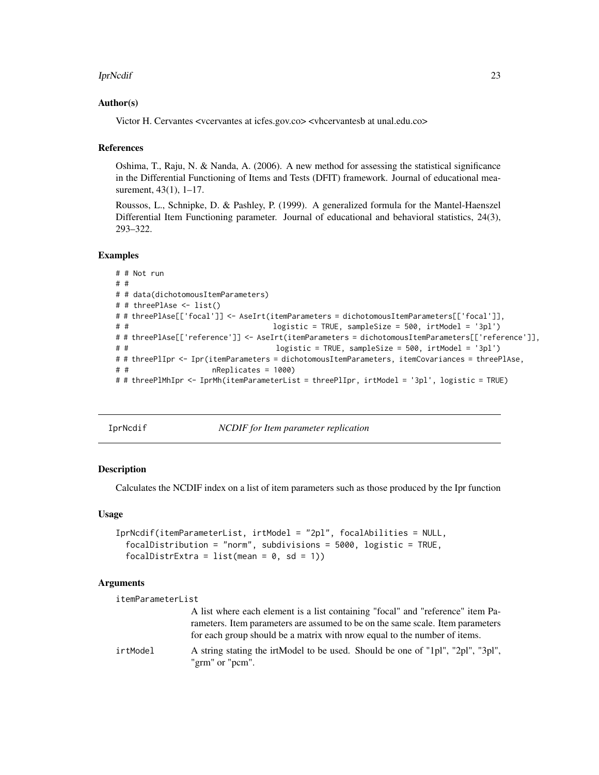#### <span id="page-22-0"></span>IprNcdif 23

#### Author(s)

Victor H. Cervantes <vcervantes at icfes.gov.co> <vhcervantesb at unal.edu.co>

#### References

Oshima, T., Raju, N. & Nanda, A. (2006). A new method for assessing the statistical significance in the Differential Functioning of Items and Tests (DFIT) framework. Journal of educational measurement, 43(1), 1–17.

Roussos, L., Schnipke, D. & Pashley, P. (1999). A generalized formula for the Mantel-Haenszel Differential Item Functioning parameter. Journal of educational and behavioral statistics, 24(3), 293–322.

#### Examples

```
# # Not run
# #
# # data(dichotomousItemParameters)
# # threePlAse <- list()
# # threePlAse[['focal']] <- AseIrt(itemParameters = dichotomousItemParameters[['focal']],
# # logistic = TRUE, sampleSize = 500, irtModel = '3pl')
# # threePlAse[['reference']] <- AseIrt(itemParameters = dichotomousItemParameters[['reference']],
# # logistic = TRUE, sampleSize = 500, irtModel = '3pl')
# # threePlIpr <- Ipr(itemParameters = dichotomousItemParameters, itemCovariances = threePlAse,
# # nReplicates = 1000)
# # threePlMhIpr <- IprMh(itemParameterList = threePlIpr, irtModel = '3pl', logistic = TRUE)
```
IprNcdif *NCDIF for Item parameter replication*

#### **Description**

Calculates the NCDIF index on a list of item parameters such as those produced by the Ipr function

#### Usage

```
IprNcdif(itemParameterList, irtModel = "2pl", focalAbilities = NULL,
  focalDistribution = "norm", subdivisions = 5000, logistic = TRUE,
  focalDistrExtra = list(mean = 0, sd = 1))
```
#### Arguments

```
itemParameterList
                  A list where each element is a list containing "focal" and "reference" item Pa-
                  rameters. Item parameters are assumed to be on the same scale. Item parameters
                  for each group should be a matrix with nrow equal to the number of items.
irtModel A string stating the irtModel to be used. Should be one of "1pl", "2pl", "3pl",
                  "grm" or "pcm".
```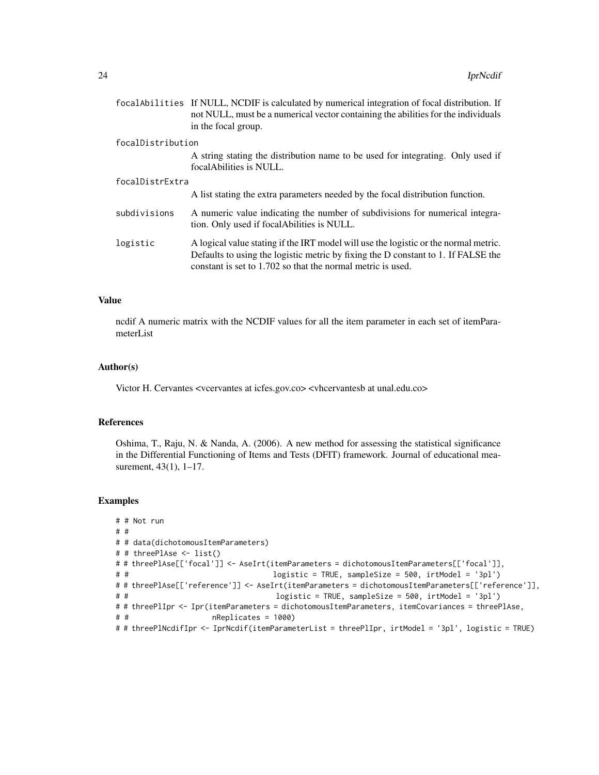|                   | focal Abilities If NULL, NCDIF is calculated by numerical integration of focal distribution. If<br>not NULL, must be a numerical vector containing the abilities for the individuals<br>in the focal group.                              |
|-------------------|------------------------------------------------------------------------------------------------------------------------------------------------------------------------------------------------------------------------------------------|
| focalDistribution |                                                                                                                                                                                                                                          |
|                   | A string stating the distribution name to be used for integrating. Only used if<br>focal Abilities is NULL.                                                                                                                              |
| focalDistrExtra   |                                                                                                                                                                                                                                          |
|                   | A list stating the extra parameters needed by the focal distribution function.                                                                                                                                                           |
| subdivisions      | A numeric value indicating the number of subdivisions for numerical integra-<br>tion. Only used if focal Abilities is NULL.                                                                                                              |
| logistic          | A logical value stating if the IRT model will use the logistic or the normal metric.<br>Defaults to using the logistic metric by fixing the D constant to 1. If FALSE the<br>constant is set to 1.702 so that the normal metric is used. |

# Value

ncdif A numeric matrix with the NCDIF values for all the item parameter in each set of itemParameterList

# Author(s)

Victor H. Cervantes <vcervantes at icfes.gov.co> <vhcervantesb at unal.edu.co>

# References

Oshima, T., Raju, N. & Nanda, A. (2006). A new method for assessing the statistical significance in the Differential Functioning of Items and Tests (DFIT) framework. Journal of educational measurement, 43(1), 1–17.

```
# # Not run
# #
# # data(dichotomousItemParameters)
# # threePlAse <- list()
# # threePlAse[['focal']] <- AseIrt(itemParameters = dichotomousItemParameters[['focal']],
# # logistic = TRUE, sampleSize = 500, irtModel = '3pl')
# # threePlAse[['reference']] <- AseIrt(itemParameters = dichotomousItemParameters[['reference']],
# # logistic = TRUE, sampleSize = 500, irtModel = '3pl')
# # threePlIpr <- Ipr(itemParameters = dichotomousItemParameters, itemCovariances = threePlAse,
# # nReplicates = 1000)
# # threePlNcdifIpr <- IprNcdif(itemParameterList = threePlIpr, irtModel = '3pl', logistic = TRUE)
```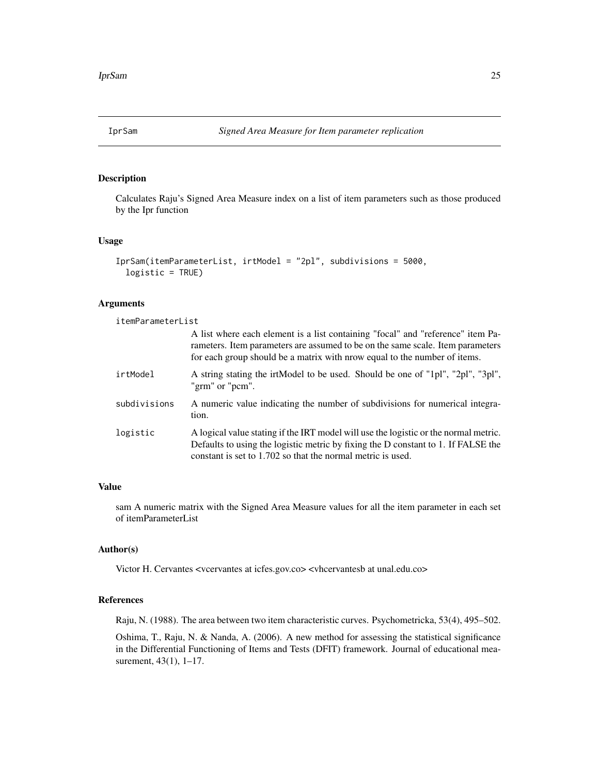<span id="page-24-0"></span>

# Description

Calculates Raju's Signed Area Measure index on a list of item parameters such as those produced by the Ipr function

# Usage

```
IprSam(itemParameterList, irtModel = "2pl", subdivisions = 5000,
  logistic = TRUE)
```
#### Arguments

| itemParameterList |                                                                                                                                                                                                                                                |
|-------------------|------------------------------------------------------------------------------------------------------------------------------------------------------------------------------------------------------------------------------------------------|
|                   | A list where each element is a list containing "focal" and "reference" item Pa-<br>rameters. Item parameters are assumed to be on the same scale. Item parameters<br>for each group should be a matrix with nrow equal to the number of items. |
| irtModel          | A string stating the irtModel to be used. Should be one of "1pl", "2pl", "3pl",<br>"grm" or "pcm".                                                                                                                                             |
| subdivisions      | A numeric value indicating the number of subdivisions for numerical integra-<br>tion.                                                                                                                                                          |
| logistic          | A logical value stating if the IRT model will use the logistic or the normal metric.<br>Defaults to using the logistic metric by fixing the D constant to 1. If FALSE the<br>constant is set to 1.702 so that the normal metric is used.       |

# Value

sam A numeric matrix with the Signed Area Measure values for all the item parameter in each set of itemParameterList

#### Author(s)

Victor H. Cervantes <vcervantes at icfes.gov.co> <vhcervantesb at unal.edu.co>

# References

Raju, N. (1988). The area between two item characteristic curves. Psychometricka, 53(4), 495–502.

Oshima, T., Raju, N. & Nanda, A. (2006). A new method for assessing the statistical significance in the Differential Functioning of Items and Tests (DFIT) framework. Journal of educational measurement, 43(1), 1–17.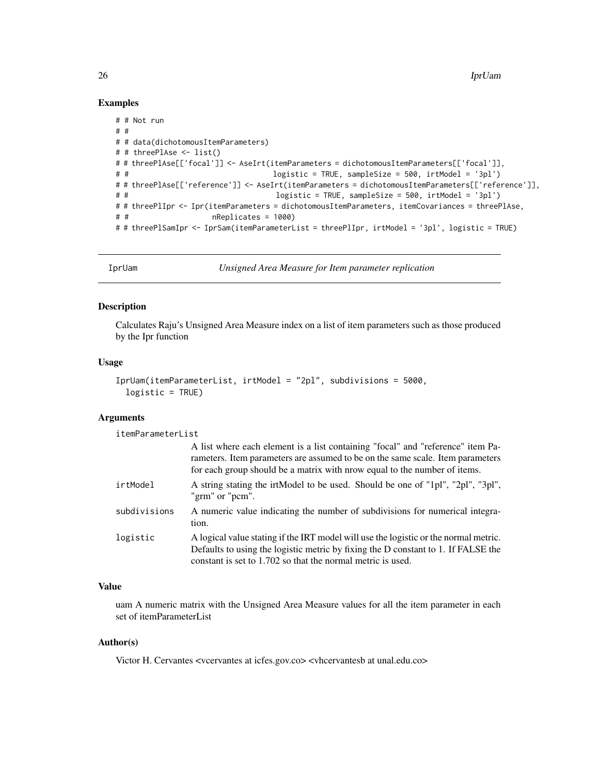# Examples

```
# # Not run
# #
# # data(dichotomousItemParameters)
# # threePlAse <- list()
# # threePlAse[['focal']] <- AseIrt(itemParameters = dichotomousItemParameters[['focal']],
# # logistic = TRUE, sampleSize = 500, irtModel = '3pl')
# # threePlAse[['reference']] <- AseIrt(itemParameters = dichotomousItemParameters[['reference']],
# # logistic = TRUE, sampleSize = 500, irtModel = '3pl')
# # threePlIpr <- Ipr(itemParameters = dichotomousItemParameters, itemCovariances = threePlAse,
# # nReplicates = 1000)
# # threePlSamIpr <- IprSam(itemParameterList = threePlIpr, irtModel = '3pl', logistic = TRUE)
```
IprUam *Unsigned Area Measure for Item parameter replication*

# **Description**

Calculates Raju's Unsigned Area Measure index on a list of item parameters such as those produced by the Ipr function

#### Usage

```
IprUam(itemParameterList, irtModel = "2pl", subdivisions = 5000,
  logistic = TRUE)
```
#### Arguments

itemParameterList

|              | A list where each element is a list containing "focal" and "reference" item Pa-<br>rameters. Item parameters are assumed to be on the same scale. Item parameters<br>for each group should be a matrix with nrow equal to the number of items. |
|--------------|------------------------------------------------------------------------------------------------------------------------------------------------------------------------------------------------------------------------------------------------|
| irtModel     | A string stating the irtModel to be used. Should be one of "1pl", "2pl", "3pl",<br>"grm" or "pcm".                                                                                                                                             |
| subdivisions | A numeric value indicating the number of subdivisions for numerical integra-<br>tion.                                                                                                                                                          |
| logistic     | A logical value stating if the IRT model will use the logistic or the normal metric.<br>Defaults to using the logistic metric by fixing the D constant to 1. If FALSE the<br>constant is set to 1.702 so that the normal metric is used.       |

# Value

uam A numeric matrix with the Unsigned Area Measure values for all the item parameter in each set of itemParameterList

# Author(s)

Victor H. Cervantes <vcervantes at icfes.gov.co> <vhcervantesb at unal.edu.co>

<span id="page-25-0"></span>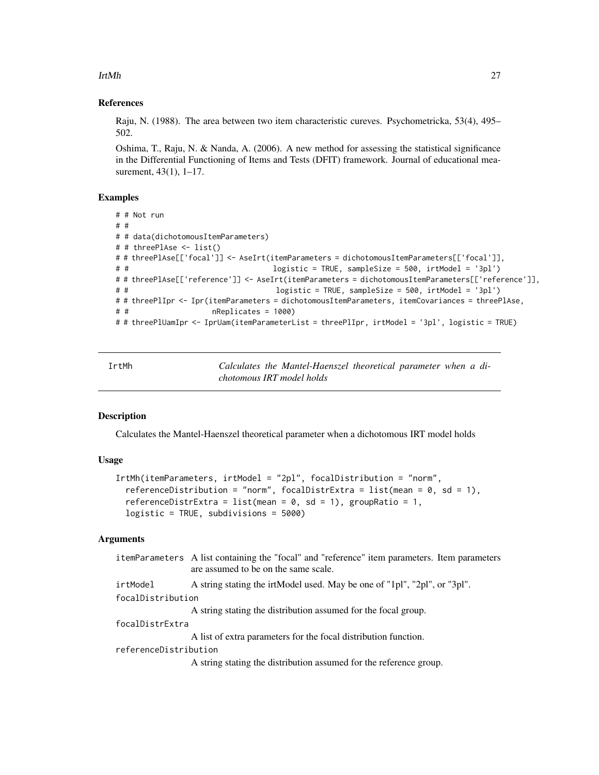<span id="page-26-0"></span>IrtMh 27

#### References

Raju, N. (1988). The area between two item characteristic cureves. Psychometricka, 53(4), 495– 502.

Oshima, T., Raju, N. & Nanda, A. (2006). A new method for assessing the statistical significance in the Differential Functioning of Items and Tests (DFIT) framework. Journal of educational measurement, 43(1), 1-17.

# Examples

```
# # Not run
# #
# # data(dichotomousItemParameters)
# # threePlAse <- list()
# # threePlAse[['focal']] <- AseIrt(itemParameters = dichotomousItemParameters[['focal']],
# # logistic = TRUE, sampleSize = 500, irtModel = '3pl')
# # threePlAse[['reference']] <- AseIrt(itemParameters = dichotomousItemParameters[['reference']],
# # logistic = TRUE, sampleSize = 500, irtModel = '3pl')
# # threePlIpr <- Ipr(itemParameters = dichotomousItemParameters, itemCovariances = threePlAse,
# # nReplicates = 1000)
# # threePlUamIpr <- IprUam(itemParameterList = threePlIpr, irtModel = '3pl', logistic = TRUE)
```
IrtMh *Calculates the Mantel-Haenszel theoretical parameter when a dichotomous IRT model holds*

#### Description

Calculates the Mantel-Haenszel theoretical parameter when a dichotomous IRT model holds

#### Usage

```
IrtMh(itemParameters, irtModel = "2pl", focalDistribution = "norm",
  referenceDistribution = "norm", focalDistrExtra = list(mean = 0, sd = 1),
  referenceDistrExtra = list(mean = 0, sd = 1), groupRatio = 1,
  logistic = TRUE, subdivisions = 5000)
```
# Arguments

|                       | itemParameters A list containing the "focal" and "reference" item parameters. Item parameters<br>are assumed to be on the same scale. |
|-----------------------|---------------------------------------------------------------------------------------------------------------------------------------|
| irtModel              | A string stating the irtModel used. May be one of "1pl", "2pl", or "3pl".                                                             |
| focalDistribution     |                                                                                                                                       |
|                       | A string stating the distribution assumed for the focal group.                                                                        |
| focalDistrExtra       |                                                                                                                                       |
|                       | A list of extra parameters for the focal distribution function.                                                                       |
| referenceDistribution |                                                                                                                                       |
|                       | A string stating the distribution assumed for the reference group.                                                                    |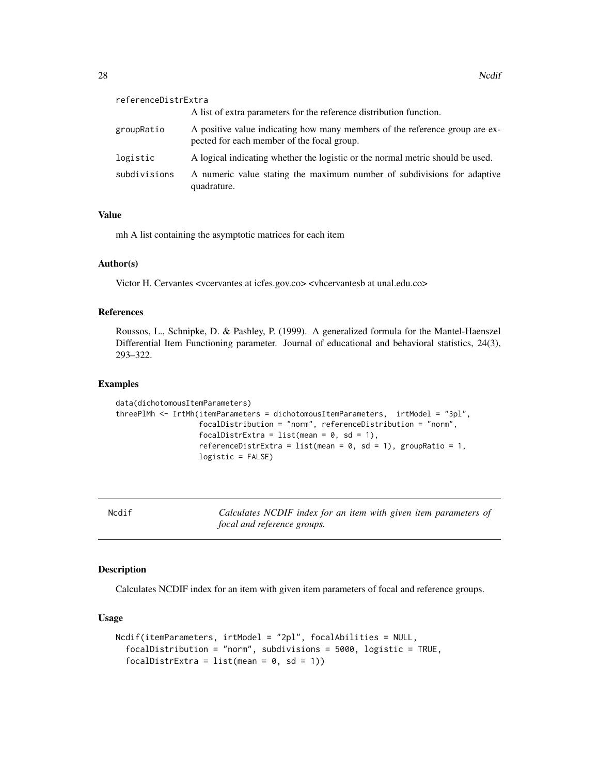<span id="page-27-0"></span>

| referenceDistrExtra |                                                                                                                           |
|---------------------|---------------------------------------------------------------------------------------------------------------------------|
|                     | A list of extra parameters for the reference distribution function.                                                       |
| groupRatio          | A positive value indicating how many members of the reference group are ex-<br>pected for each member of the focal group. |
| logistic            | A logical indicating whether the logistic or the normal metric should be used.                                            |
| subdivisions        | A numeric value stating the maximum number of subdivisions for adaptive<br>quadrature.                                    |

# Value

mh A list containing the asymptotic matrices for each item

# Author(s)

Victor H. Cervantes <vcervantes at icfes.gov.co> <vhcervantesb at unal.edu.co>

# References

Roussos, L., Schnipke, D. & Pashley, P. (1999). A generalized formula for the Mantel-Haenszel Differential Item Functioning parameter. Journal of educational and behavioral statistics, 24(3), 293–322.

#### Examples

```
data(dichotomousItemParameters)
threePlMh <- IrtMh(itemParameters = dichotomousItemParameters, irtModel = "3pl",
                   focalDistribution = "norm", referenceDistribution = "norm",
                   focalDistrExtra = list(mean = 0, sd = 1),
                   referenceDistrExtra = list(mean = 0, sd = 1), groupRatio = 1,
                   logistic = FALSE)
```
Ncdif *Calculates NCDIF index for an item with given item parameters of focal and reference groups.*

#### Description

Calculates NCDIF index for an item with given item parameters of focal and reference groups.

# Usage

```
Ncdif(itemParameters, irtModel = "2pl", focalAbilities = NULL,
  focalDistribution = "norm", subdivisions = 5000, logistic = TRUE,
  focalDistrExtra = list(mean = 0, sd = 1))
```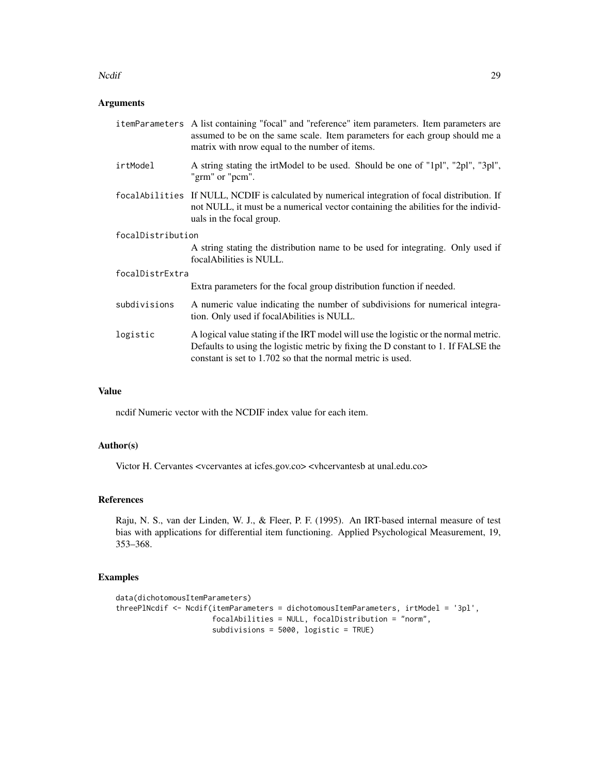#### Nedif 29

# Arguments

| itemParameters A list containing "focal" and "reference" item parameters. Item parameters are<br>assumed to be on the same scale. Item parameters for each group should me a<br>matrix with nrow equal to the number of items.           |  |
|------------------------------------------------------------------------------------------------------------------------------------------------------------------------------------------------------------------------------------------|--|
| A string stating the irtModel to be used. Should be one of "1pl", "2pl", "3pl",<br>"grm" or "pcm".                                                                                                                                       |  |
| focal Abilities If NULL, NCDIF is calculated by numerical integration of focal distribution. If<br>not NULL, it must be a numerical vector containing the abilities for the individ-<br>uals in the focal group.                         |  |
| focalDistribution                                                                                                                                                                                                                        |  |
| A string stating the distribution name to be used for integrating. Only used if<br>focal Abilities is NULL.                                                                                                                              |  |
| focalDistrExtra                                                                                                                                                                                                                          |  |
| Extra parameters for the focal group distribution function if needed.                                                                                                                                                                    |  |
| A numeric value indicating the number of subdivisions for numerical integra-<br>tion. Only used if focal Abilities is NULL.                                                                                                              |  |
| A logical value stating if the IRT model will use the logistic or the normal metric.<br>Defaults to using the logistic metric by fixing the D constant to 1. If FALSE the<br>constant is set to 1.702 so that the normal metric is used. |  |
|                                                                                                                                                                                                                                          |  |

# Value

ncdif Numeric vector with the NCDIF index value for each item.

# Author(s)

Victor H. Cervantes <vcervantes at icfes.gov.co> <vhcervantesb at unal.edu.co>

# References

Raju, N. S., van der Linden, W. J., & Fleer, P. F. (1995). An IRT-based internal measure of test bias with applications for differential item functioning. Applied Psychological Measurement, 19, 353–368.

```
data(dichotomousItemParameters)
threePlNcdif <- Ncdif(itemParameters = dichotomousItemParameters, irtModel = '3pl',
                     focalAbilities = NULL, focalDistribution = "norm",
                     subdivisions = 5000, logistic = TRUE)
```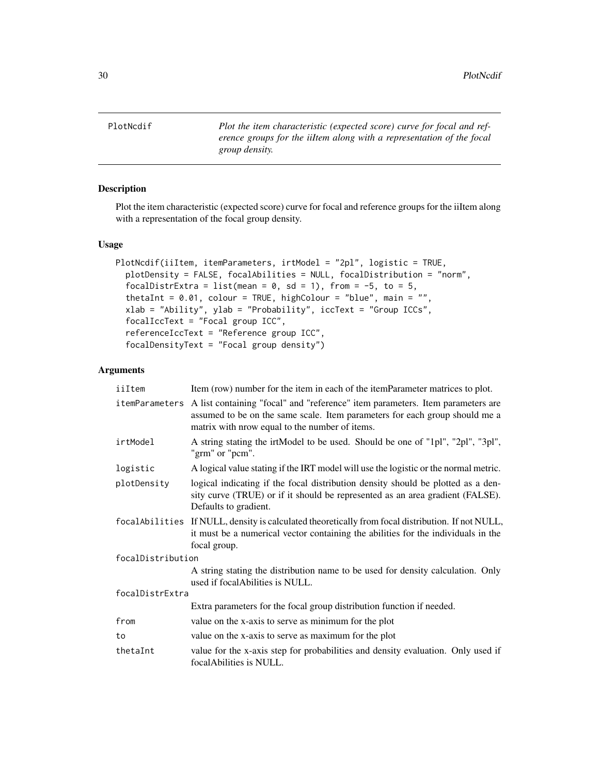<span id="page-29-0"></span>PlotNcdif *Plot the item characteristic (expected score) curve for focal and reference groups for the iiItem along with a representation of the focal group density.*

# Description

Plot the item characteristic (expected score) curve for focal and reference groups for the iiItem along with a representation of the focal group density.

#### Usage

```
PlotNcdif(iiItem, itemParameters, irtModel = "2pl", logistic = TRUE,
 plotDensity = FALSE, focalAbilities = NULL, focalDistribution = "norm",
 focalDistrExtra = list(mean = 0, sd = 1), from = -5, to = 5,
 thetaInt = 0.01, colour = TRUE, highColour = "blue", main = "",
  xlab = "Ability", ylab = "Probability", iccText = "Group ICCs",
  focalIccText = "Focal group ICC",
 referenceIccText = "Reference group ICC",
  focalDensityText = "Focal group density")
```
# Arguments

| iiItem            | Item (row) number for the item in each of the itemParameter matrices to plot.                                                                                                                                   |
|-------------------|-----------------------------------------------------------------------------------------------------------------------------------------------------------------------------------------------------------------|
| itemParameters    | A list containing "focal" and "reference" item parameters. Item parameters are<br>assumed to be on the same scale. Item parameters for each group should me a<br>matrix with nrow equal to the number of items. |
| irtModel          | A string stating the irtModel to be used. Should be one of "1pl", "2pl", "3pl",<br>"grm" or "pcm".                                                                                                              |
| logistic          | A logical value stating if the IRT model will use the logistic or the normal metric.                                                                                                                            |
| plotDensity       | logical indicating if the focal distribution density should be plotted as a den-<br>sity curve (TRUE) or if it should be represented as an area gradient (FALSE).<br>Defaults to gradient.                      |
|                   | focal Abilities If NULL, density is calculated theoretically from focal distribution. If not NULL,<br>it must be a numerical vector containing the abilities for the individuals in the<br>focal group.         |
| focalDistribution |                                                                                                                                                                                                                 |
|                   | A string stating the distribution name to be used for density calculation. Only<br>used if focal Abilities is NULL.                                                                                             |
| focalDistrExtra   |                                                                                                                                                                                                                 |
|                   | Extra parameters for the focal group distribution function if needed.                                                                                                                                           |
| from              | value on the x-axis to serve as minimum for the plot                                                                                                                                                            |
| to                | value on the x-axis to serve as maximum for the plot                                                                                                                                                            |
| thetaInt          | value for the x-axis step for probabilities and density evaluation. Only used if<br>focal Abilities is NULL.                                                                                                    |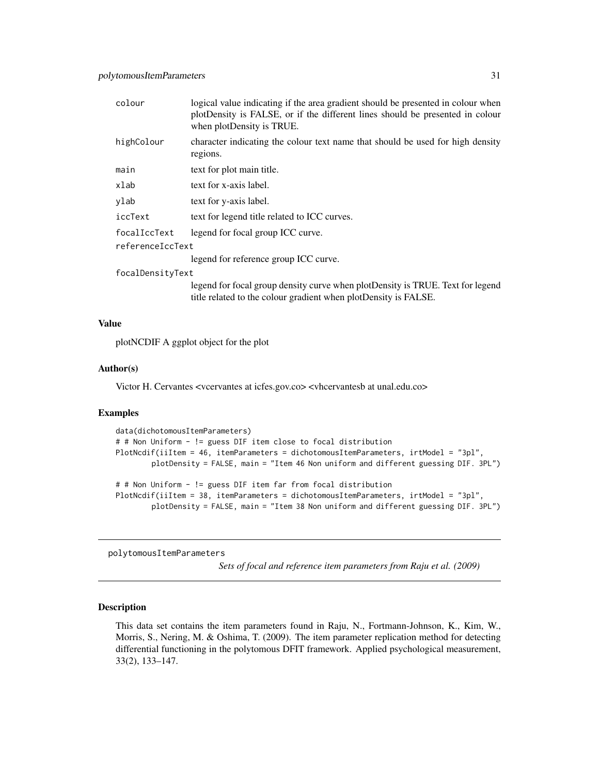<span id="page-30-0"></span>

| colour           | logical value indicating if the area gradient should be presented in colour when<br>plotDensity is FALSE, or if the different lines should be presented in colour<br>when plotDensity is TRUE. |  |
|------------------|------------------------------------------------------------------------------------------------------------------------------------------------------------------------------------------------|--|
| highColour       | character indicating the colour text name that should be used for high density<br>regions.                                                                                                     |  |
| main             | text for plot main title.                                                                                                                                                                      |  |
| xlab             | text for x-axis label.                                                                                                                                                                         |  |
| ylab             | text for y-axis label.                                                                                                                                                                         |  |
| iccText          | text for legend title related to ICC curves.                                                                                                                                                   |  |
| focalIccText     | legend for focal group ICC curve.                                                                                                                                                              |  |
| referenceIccText |                                                                                                                                                                                                |  |
|                  | legend for reference group ICC curve.                                                                                                                                                          |  |
| focalDensityText |                                                                                                                                                                                                |  |
|                  | legend for focal group density curve when plotDensity is TRUE. Text for legend                                                                                                                 |  |

title related to the colour gradient when plotDensity is FALSE.

#### Value

plotNCDIF A ggplot object for the plot

#### Author(s)

Victor H. Cervantes <vcervantes at icfes.gov.co> <vhcervantesb at unal.edu.co>

#### Examples

```
data(dichotomousItemParameters)
# # Non Uniform - != guess DIF item close to focal distribution
PlotNcdif(iiItem = 46, itemParameters = dichotomousItemParameters, irtModel = "3pl",
        plotDensity = FALSE, main = "Item 46 Non uniform and different guessing DIF. 3PL")
# # Non Uniform - != guess DIF item far from focal distribution
PlotNcdif(iiItem = 38, itemParameters = dichotomousItemParameters, irtModel = "3pl",
        plotDensity = FALSE, main = "Item 38 Non uniform and different guessing DIF. 3PL")
```
polytomousItemParameters

*Sets of focal and reference item parameters from Raju et al. (2009)*

# Description

This data set contains the item parameters found in Raju, N., Fortmann-Johnson, K., Kim, W., Morris, S., Nering, M. & Oshima, T. (2009). The item parameter replication method for detecting differential functioning in the polytomous DFIT framework. Applied psychological measurement, 33(2), 133–147.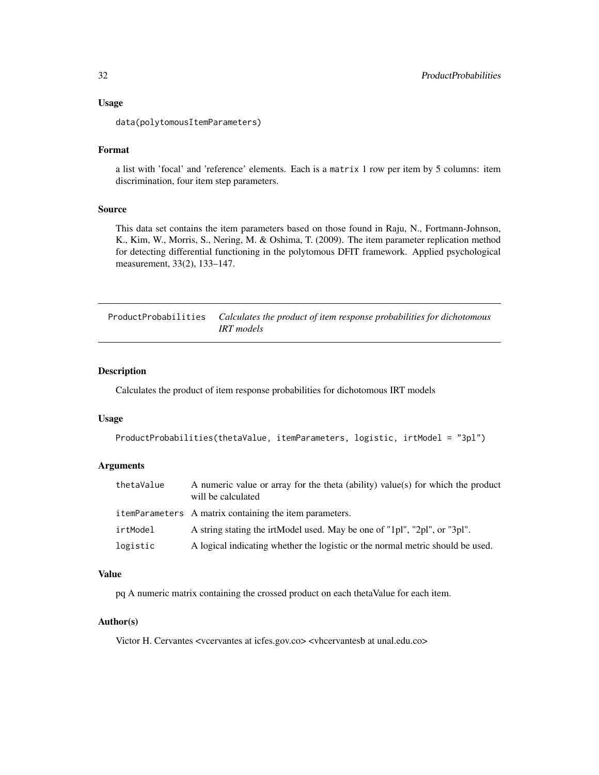#### <span id="page-31-0"></span>Usage

data(polytomousItemParameters)

# Format

a list with 'focal' and 'reference' elements. Each is a matrix 1 row per item by 5 columns: item discrimination, four item step parameters.

# Source

This data set contains the item parameters based on those found in Raju, N., Fortmann-Johnson, K., Kim, W., Morris, S., Nering, M. & Oshima, T. (2009). The item parameter replication method for detecting differential functioning in the polytomous DFIT framework. Applied psychological measurement, 33(2), 133–147.

ProductProbabilities *Calculates the product of item response probabilities for dichotomous IRT models*

#### Description

Calculates the product of item response probabilities for dichotomous IRT models

# Usage

```
ProductProbabilities(thetaValue, itemParameters, logistic, irtModel = "3pl")
```
#### Arguments

| thetaValue | A numeric value or array for the theta (ability) value(s) for which the product<br>will be calculated |
|------------|-------------------------------------------------------------------------------------------------------|
|            | itemParameters A matrix containing the item parameters.                                               |
| irtModel   | A string stating the irtModel used. May be one of "1pl", "2pl", or "3pl".                             |
| logistic   | A logical indicating whether the logistic or the normal metric should be used.                        |

#### Value

pq A numeric matrix containing the crossed product on each thetaValue for each item.

#### Author(s)

Victor H. Cervantes <vcervantes at icfes.gov.co> <vhcervantesb at unal.edu.co>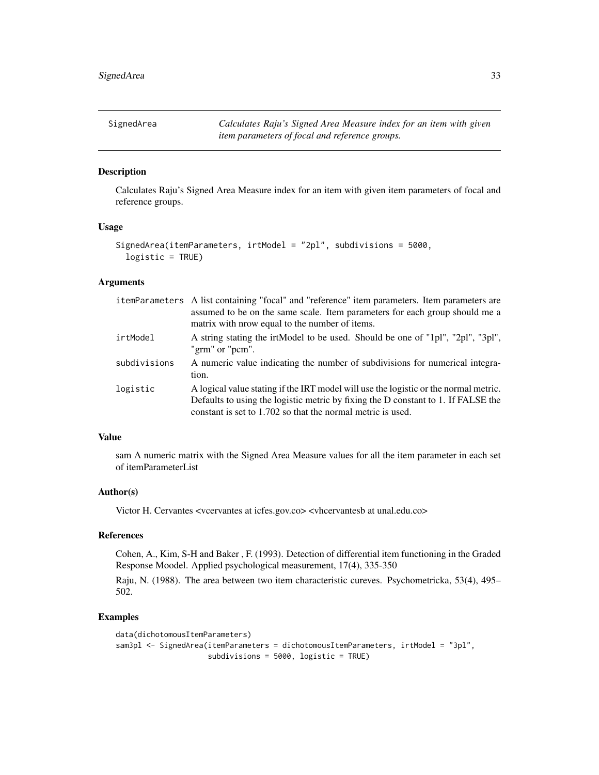<span id="page-32-0"></span>SignedArea *Calculates Raju's Signed Area Measure index for an item with given item parameters of focal and reference groups.*

# Description

Calculates Raju's Signed Area Measure index for an item with given item parameters of focal and reference groups.

#### Usage

```
SignedArea(itemParameters, irtModel = "2pl", subdivisions = 5000,
  logistic = TRUE)
```
# Arguments

|              | itemParameters A list containing "focal" and "reference" item parameters. Item parameters are<br>assumed to be on the same scale. Item parameters for each group should me a<br>matrix with prow equal to the number of items.           |
|--------------|------------------------------------------------------------------------------------------------------------------------------------------------------------------------------------------------------------------------------------------|
| irtModel     | A string stating the irtModel to be used. Should be one of "1pl", "2pl", "3pl",<br>"grm" or "pcm".                                                                                                                                       |
| subdivisions | A numeric value indicating the number of subdivisions for numerical integra-<br>tion.                                                                                                                                                    |
| logistic     | A logical value stating if the IRT model will use the logistic or the normal metric.<br>Defaults to using the logistic metric by fixing the D constant to 1. If FALSE the<br>constant is set to 1.702 so that the normal metric is used. |

### Value

sam A numeric matrix with the Signed Area Measure values for all the item parameter in each set of itemParameterList

#### Author(s)

Victor H. Cervantes <vcervantes at icfes.gov.co> <vhcervantesb at unal.edu.co>

#### References

Cohen, A., Kim, S-H and Baker , F. (1993). Detection of differential item functioning in the Graded Response Moodel. Applied psychological measurement, 17(4), 335-350

Raju, N. (1988). The area between two item characteristic cureves. Psychometricka, 53(4), 495– 502.

```
data(dichotomousItemParameters)
sam3pl <- SignedArea(itemParameters = dichotomousItemParameters, irtModel = "3pl",
                    subdivisions = 5000, logistic = TRUE)
```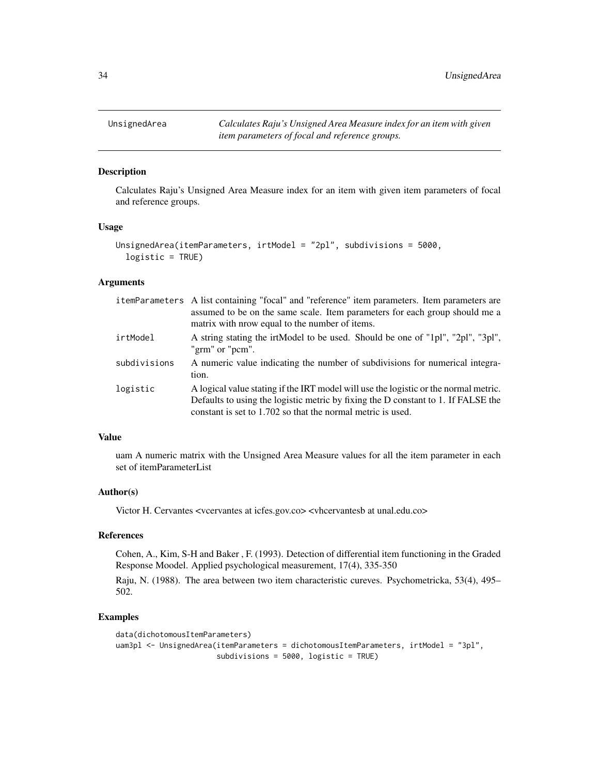<span id="page-33-0"></span>

# Description

Calculates Raju's Unsigned Area Measure index for an item with given item parameters of focal and reference groups.

#### Usage

```
UnsignedArea(itemParameters, irtModel = "2pl", subdivisions = 5000,
  logistic = TRUE)
```
#### Arguments

|              | itemParameters A list containing "focal" and "reference" item parameters. Item parameters are<br>assumed to be on the same scale. Item parameters for each group should me a<br>matrix with prow equal to the number of items.           |
|--------------|------------------------------------------------------------------------------------------------------------------------------------------------------------------------------------------------------------------------------------------|
| irtModel     | A string stating the irtModel to be used. Should be one of "1pl", "2pl", "3pl",<br>"grm" or "pcm".                                                                                                                                       |
| subdivisions | A numeric value indicating the number of subdivisions for numerical integra-<br>tion.                                                                                                                                                    |
| logistic     | A logical value stating if the IRT model will use the logistic or the normal metric.<br>Defaults to using the logistic metric by fixing the D constant to 1. If FALSE the<br>constant is set to 1.702 so that the normal metric is used. |

### Value

uam A numeric matrix with the Unsigned Area Measure values for all the item parameter in each set of itemParameterList

#### Author(s)

Victor H. Cervantes <vcervantes at icfes.gov.co> <vhcervantesb at unal.edu.co>

#### References

Cohen, A., Kim, S-H and Baker , F. (1993). Detection of differential item functioning in the Graded Response Moodel. Applied psychological measurement, 17(4), 335-350

Raju, N. (1988). The area between two item characteristic cureves. Psychometricka, 53(4), 495– 502.

```
data(dichotomousItemParameters)
uam3pl <- UnsignedArea(itemParameters = dichotomousItemParameters, irtModel = "3pl",
                      subdivisions = 5000, logistic = TRUE)
```